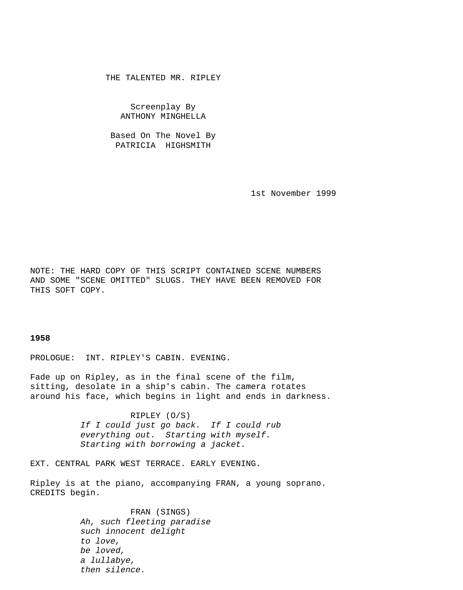THE TALENTED MR. RIPLEY

 Screenplay By ANTHONY MINGHELLA

 Based On The Novel By PATRICIA HIGHSMITH

1st November 1999

 NOTE: THE HARD COPY OF THIS SCRIPT CONTAINED SCENE NUMBERS AND SOME "SCENE OMITTED" SLUGS. THEY HAVE BEEN REMOVED FOR THIS SOFT COPY.

### **1958**

PROLOGUE: INT. RIPLEY'S CABIN. EVENING.

 Fade up on Ripley, as in the final scene of the film, sitting, desolate in a ship's cabin. The camera rotates around his face, which begins in light and ends in darkness.

> RIPLEY (O/S) *If I could just go back. If I could rub everything out. Starting with myself. Starting with borrowing a jacket.*

EXT. CENTRAL PARK WEST TERRACE. EARLY EVENING.

 Ripley is at the piano, accompanying FRAN, a young soprano. CREDITS begin.

> FRAN (SINGS) *Ah, such fleeting paradise such innocent delight to love, be loved, a lullabye, then silence.*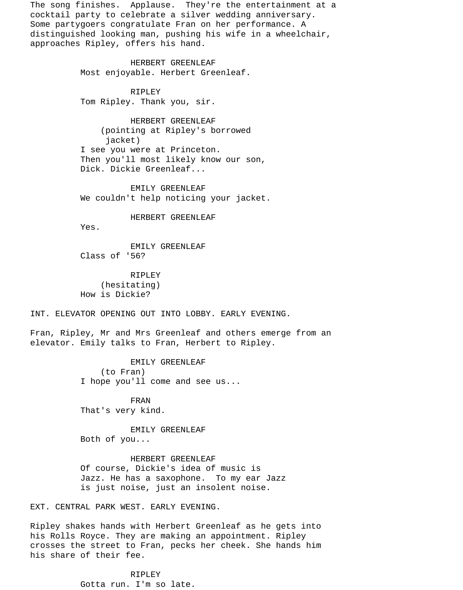The song finishes. Applause. They're the entertainment at a cocktail party to celebrate a silver wedding anniversary. Some partygoers congratulate Fran on her performance. A distinguished looking man, pushing his wife in a wheelchair, approaches Ripley, offers his hand.

> HERBERT GREENLEAF Most enjoyable. Herbert Greenleaf.

 RIPLEY Tom Ripley. Thank you, sir.

 HERBERT GREENLEAF (pointing at Ripley's borrowed jacket) I see you were at Princeton. Then you'll most likely know our son, Dick. Dickie Greenleaf...

 EMILY GREENLEAF We couldn't help noticing your jacket.

HERBERT GREENLEAF

Yes.

 EMILY GREENLEAF Class of '56?

 RIPLEY (hesitating) How is Dickie?

INT. ELEVATOR OPENING OUT INTO LOBBY. EARLY EVENING.

 Fran, Ripley, Mr and Mrs Greenleaf and others emerge from an elevator. Emily talks to Fran, Herbert to Ripley.

> EMILY GREENLEAF (to Fran) I hope you'll come and see us...

 FRAN That's very kind.

 EMILY GREENLEAF Both of you...

 HERBERT GREENLEAF Of course, Dickie's idea of music is Jazz. He has a saxophone. To my ear Jazz is just noise, just an insolent noise.

EXT. CENTRAL PARK WEST. EARLY EVENING.

 Ripley shakes hands with Herbert Greenleaf as he gets into his Rolls Royce. They are making an appointment. Ripley crosses the street to Fran, pecks her cheek. She hands him his share of their fee.

> RIPLEY Gotta run. I'm so late.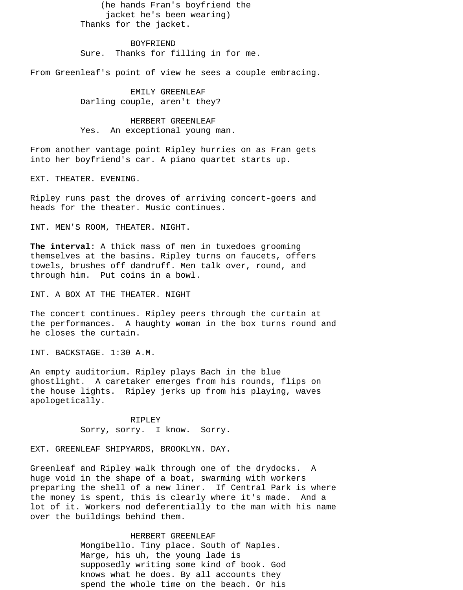(he hands Fran's boyfriend the jacket he's been wearing) Thanks for the jacket.

 BOYFRIEND Sure. Thanks for filling in for me.

From Greenleaf's point of view he sees a couple embracing.

 EMILY GREENLEAF Darling couple, aren't they?

 HERBERT GREENLEAF Yes. An exceptional young man.

 From another vantage point Ripley hurries on as Fran gets into her boyfriend's car. A piano quartet starts up.

EXT. THEATER. EVENING.

 Ripley runs past the droves of arriving concert-goers and heads for the theater. Music continues.

INT. MEN'S ROOM, THEATER. NIGHT.

 **The interval**: A thick mass of men in tuxedoes grooming themselves at the basins. Ripley turns on faucets, offers towels, brushes off dandruff. Men talk over, round, and through him. Put coins in a bowl.

INT. A BOX AT THE THEATER. NIGHT

 The concert continues. Ripley peers through the curtain at the performances. A haughty woman in the box turns round and he closes the curtain.

INT. BACKSTAGE. 1:30 A.M.

 An empty auditorium. Ripley plays Bach in the blue ghostlight. A caretaker emerges from his rounds, flips on the house lights. Ripley jerks up from his playing, waves apologetically.

> RIPLEY Sorry, sorry. I know. Sorry.

EXT. GREENLEAF SHIPYARDS, BROOKLYN. DAY.

 Greenleaf and Ripley walk through one of the drydocks. A huge void in the shape of a boat, swarming with workers preparing the shell of a new liner. If Central Park is where the money is spent, this is clearly where it's made. And a lot of it. Workers nod deferentially to the man with his name over the buildings behind them.

> HERBERT GREENLEAF Mongibello. Tiny place. South of Naples. Marge, his uh, the young lade is supposedly writing some kind of book. God knows what he does. By all accounts they spend the whole time on the beach. Or his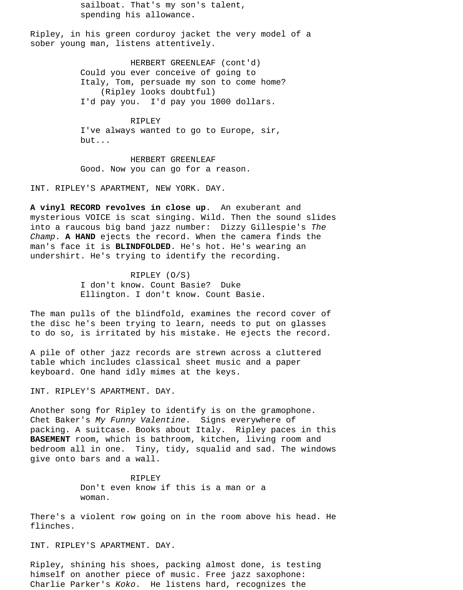sailboat. That's my son's talent, spending his allowance.

 Ripley, in his green corduroy jacket the very model of a sober young man, listens attentively.

> HERBERT GREENLEAF (cont'd) Could you ever conceive of going to Italy, Tom, persuade my son to come home? (Ripley looks doubtful) I'd pay you. I'd pay you 1000 dollars.

 RIPLEY I've always wanted to go to Europe, sir, but...

 HERBERT GREENLEAF Good. Now you can go for a reason.

INT. RIPLEY'S APARTMENT, NEW YORK. DAY.

 **A vinyl RECORD revolves in close up**. An exuberant and mysterious VOICE is scat singing. Wild. Then the sound slides into a raucous big band jazz number: Dizzy Gillespie's *The Champ*. **A HAND** ejects the record. When the camera finds the man's face it is **BLINDFOLDED**. He's hot. He's wearing an undershirt. He's trying to identify the recording.

> RIPLEY (O/S) I don't know. Count Basie? Duke Ellington. I don't know. Count Basie.

 The man pulls of the blindfold, examines the record cover of the disc he's been trying to learn, needs to put on glasses to do so, is irritated by his mistake. He ejects the record.

 A pile of other jazz records are strewn across a cluttered table which includes classical sheet music and a paper keyboard. One hand idly mimes at the keys.

INT. RIPLEY'S APARTMENT. DAY.

 Another song for Ripley to identify is on the gramophone. Chet Baker's *My Funny Valentine*. Signs everywhere of packing. A suitcase. Books about Italy. Ripley paces in this **BASEMENT** room, which is bathroom, kitchen, living room and bedroom all in one. Tiny, tidy, squalid and sad. The windows give onto bars and a wall.

> RIPLEY Don't even know if this is a man or a woman.

 There's a violent row going on in the room above his head. He flinches.

INT. RIPLEY'S APARTMENT. DAY.

 Ripley, shining his shoes, packing almost done, is testing himself on another piece of music. Free jazz saxophone: Charlie Parker's *Koko*. He listens hard, recognizes the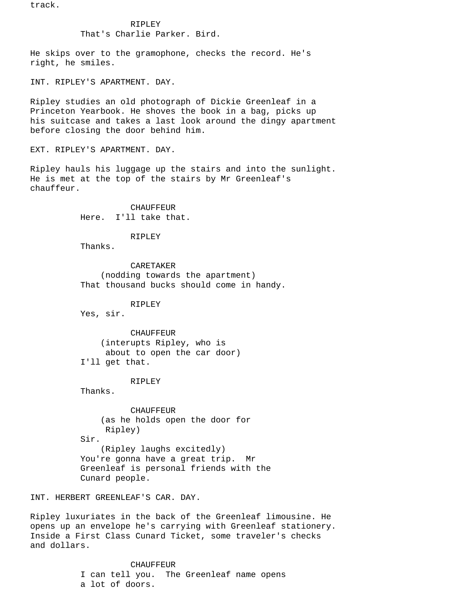track.

 RIPLEY That's Charlie Parker. Bird.

 He skips over to the gramophone, checks the record. He's right, he smiles.

INT. RIPLEY'S APARTMENT. DAY.

 Ripley studies an old photograph of Dickie Greenleaf in a Princeton Yearbook. He shoves the book in a bag, picks up his suitcase and takes a last look around the dingy apartment before closing the door behind him.

EXT. RIPLEY'S APARTMENT. DAY.

 Ripley hauls his luggage up the stairs and into the sunlight. He is met at the top of the stairs by Mr Greenleaf's chauffeur.

> CHAUFFEUR Here. I'll take that.

### RIPLEY

Thanks.

 CARETAKER (nodding towards the apartment) That thousand bucks should come in handy.

RIPLEY

Yes, sir.

 CHAUFFEUR (interupts Ripley, who is about to open the car door) I'll get that.

RIPLEY

Thanks.

 CHAUFFEUR (as he holds open the door for Ripley) Sir. (Ripley laughs excitedly) You're gonna have a great trip. Mr Greenleaf is personal friends with the Cunard people.

INT. HERBERT GREENLEAF'S CAR. DAY.

 Ripley luxuriates in the back of the Greenleaf limousine. He opens up an envelope he's carrying with Greenleaf stationery. Inside a First Class Cunard Ticket, some traveler's checks and dollars.

> CHAUFFEUR I can tell you. The Greenleaf name opens a lot of doors.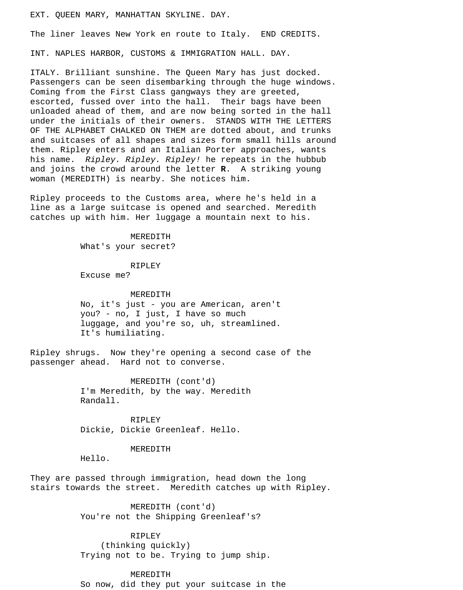EXT. QUEEN MARY, MANHATTAN SKYLINE. DAY.

The liner leaves New York en route to Italy. END CREDITS.

INT. NAPLES HARBOR, CUSTOMS & IMMIGRATION HALL. DAY.

 ITALY. Brilliant sunshine. The Queen Mary has just docked. Passengers can be seen disembarking through the huge windows. Coming from the First Class gangways they are greeted, escorted, fussed over into the hall. Their bags have been unloaded ahead of them, and are now being sorted in the hall under the initials of their owners. STANDS WITH THE LETTERS OF THE ALPHABET CHALKED ON THEM are dotted about, and trunks and suitcases of all shapes and sizes form small hills around them. Ripley enters and an Italian Porter approaches, wants his name. *Ripley. Ripley. Ripley!* he repeats in the hubbub and joins the crowd around the letter **R**. A striking young woman (MEREDITH) is nearby. She notices him.

 Ripley proceeds to the Customs area, where he's held in a line as a large suitcase is opened and searched. Meredith catches up with him. Her luggage a mountain next to his.

MEREDITH

What's your secret?

RIPLEY

Excuse me?

MEREDITH

 No, it's just - you are American, aren't you? - no, I just, I have so much luggage, and you're so, uh, streamlined. It's humiliating.

 Ripley shrugs. Now they're opening a second case of the passenger ahead. Hard not to converse.

> MEREDITH (cont'd) I'm Meredith, by the way. Meredith Randall.

RIPLEY Dickie, Dickie Greenleaf. Hello.

MEREDITH

Hello.

 They are passed through immigration, head down the long stairs towards the street. Meredith catches up with Ripley.

> MEREDITH (cont'd) You're not the Shipping Greenleaf's?

 RIPLEY (thinking quickly) Trying not to be. Trying to jump ship.

 MEREDITH So now, did they put your suitcase in the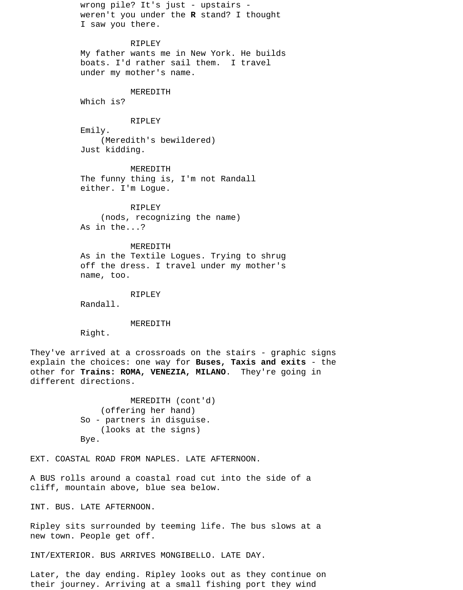wrong pile? It's just - upstairs weren't you under the **R** stand? I thought I saw you there.

 RIPLEY My father wants me in New York. He builds boats. I'd rather sail them. I travel under my mother's name.

MEREDITH

Which is?

RIPLEY

 Emily. (Meredith's bewildered) Just kidding.

 MEREDITH The funny thing is, I'm not Randall either. I'm Logue.

 RIPLEY (nods, recognizing the name) As in the...?

 MEREDITH As in the Textile Logues. Trying to shrug off the dress. I travel under my mother's name, too.

RIPLEY

Randall.

MEREDITH

Right.

They've arrived at a crossroads on the stairs - graphic signs explain the choices: one way for **Buses, Taxis and exits** - the other for **Trains: ROMA, VENEZIA, MILANO**. They're going in different directions.

> MEREDITH (cont'd) (offering her hand) So - partners in disguise. (looks at the signs) Bye.

EXT. COASTAL ROAD FROM NAPLES. LATE AFTERNOON.

 A BUS rolls around a coastal road cut into the side of a cliff, mountain above, blue sea below.

INT. BUS. LATE AFTERNOON.

 Ripley sits surrounded by teeming life. The bus slows at a new town. People get off.

INT/EXTERIOR. BUS ARRIVES MONGIBELLO. LATE DAY.

 Later, the day ending. Ripley looks out as they continue on their journey. Arriving at a small fishing port they wind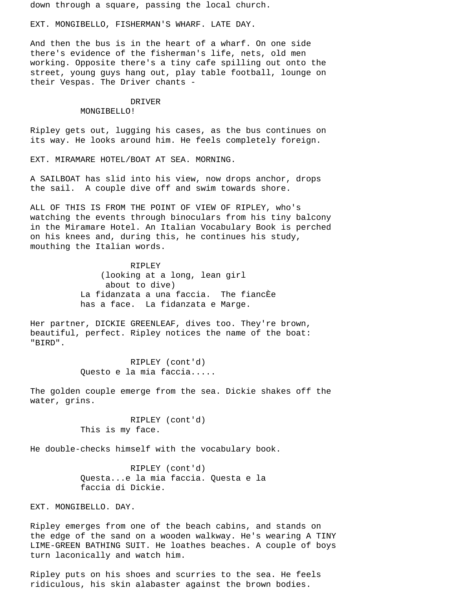down through a square, passing the local church.

EXT. MONGIBELLO, FISHERMAN'S WHARF. LATE DAY.

 And then the bus is in the heart of a wharf. On one side there's evidence of the fisherman's life, nets, old men working. Opposite there's a tiny cafe spilling out onto the street, young guys hang out, play table football, lounge on their Vespas. The Driver chants -

#### DRIVER

MONGIBELLO!

 Ripley gets out, lugging his cases, as the bus continues on its way. He looks around him. He feels completely foreign.

EXT. MIRAMARE HOTEL/BOAT AT SEA. MORNING.

 A SAILBOAT has slid into his view, now drops anchor, drops the sail. A couple dive off and swim towards shore.

 ALL OF THIS IS FROM THE POINT OF VIEW OF RIPLEY, who's watching the events through binoculars from his tiny balcony in the Miramare Hotel. An Italian Vocabulary Book is perched on his knees and, during this, he continues his study, mouthing the Italian words.

> RIPLEY (looking at a long, lean girl about to dive) La fidanzata a una faccia. The fiancÈe has a face. La fidanzata e Marge.

 Her partner, DICKIE GREENLEAF, dives too. They're brown, beautiful, perfect. Ripley notices the name of the boat: "BIRD".

> RIPLEY (cont'd) Questo e la mia faccia.....

 The golden couple emerge from the sea. Dickie shakes off the water, grins.

> RIPLEY (cont'd) This is my face.

He double-checks himself with the vocabulary book.

 RIPLEY (cont'd) Questa...e la mia faccia. Questa e la faccia di Dickie.

EXT. MONGIBELLO. DAY.

 Ripley emerges from one of the beach cabins, and stands on the edge of the sand on a wooden walkway. He's wearing A TINY LIME-GREEN BATHING SUIT. He loathes beaches. A couple of boys turn laconically and watch him.

 Ripley puts on his shoes and scurries to the sea. He feels ridiculous, his skin alabaster against the brown bodies.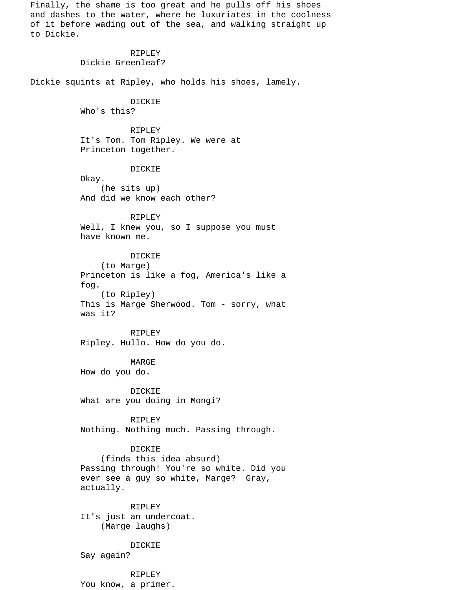Finally, the shame is too great and he pulls off his shoes and dashes to the water, where he luxuriates in the coolness of it before wading out of the sea, and walking straight up to Dickie.

# RIPLEY Dickie Greenleaf?

Dickie squints at Ripley, who holds his shoes, lamely.

# DICKIE

Who's this?

### RIPLEY

 It's Tom. Tom Ripley. We were at Princeton together.

### DICKIE

 Okay. (he sits up) And did we know each other?

#### RIPLEY

 Well, I knew you, so I suppose you must have known me.

# DICKIE

 (to Marge) Princeton is like a fog, America's like a fog. (to Ripley) This is Marge Sherwood. Tom - sorry, what was it?

# RIPLEY Ripley. Hullo. How do you do.

**MARGE** 

How do you do.

 DICKIE What are you doing in Mongi?

 RIPLEY Nothing. Nothing much. Passing through.

### DICKIE

 (finds this idea absurd) Passing through! You're so white. Did you ever see a guy so white, Marge? Gray, actually.

# RIPLEY

 It's just an undercoat. (Marge laughs)

# DICKIE

Say again?

# RIPLEY

You know, a primer.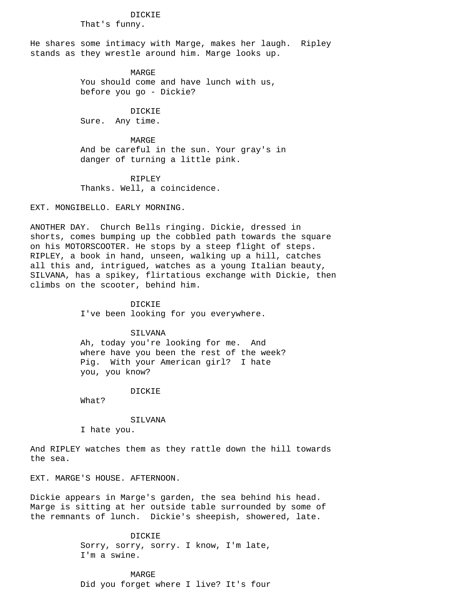#### DICKIE

That's funny.

 He shares some intimacy with Marge, makes her laugh. Ripley stands as they wrestle around him. Marge looks up.

> **MARGE**  You should come and have lunch with us, before you go - Dickie?

> > DICKIE

Sure. Any time.

MARGE

 And be careful in the sun. Your gray's in danger of turning a little pink.

RIPLEY

Thanks. Well, a coincidence.

EXT. MONGIBELLO. EARLY MORNING.

 ANOTHER DAY. Church Bells ringing. Dickie, dressed in shorts, comes bumping up the cobbled path towards the square on his MOTORSCOOTER. He stops by a steep flight of steps. RIPLEY, a book in hand, unseen, walking up a hill, catches all this and, intrigued, watches as a young Italian beauty, SILVANA, has a spikey, flirtatious exchange with Dickie, then climbs on the scooter, behind him.

DICKIE

I've been looking for you everywhere.

#### SILVANA

 Ah, today you're looking for me. And where have you been the rest of the week? Pig. With your American girl? I hate you, you know?

DICKIE

What?

SILVANA

I hate you.

 And RIPLEY watches them as they rattle down the hill towards the sea.

EXT. MARGE'S HOUSE. AFTERNOON.

 Dickie appears in Marge's garden, the sea behind his head. Marge is sitting at her outside table surrounded by some of the remnants of lunch. Dickie's sheepish, showered, late.

DICKIE

 Sorry, sorry, sorry. I know, I'm late, I'm a swine.

 MARGE Did you forget where I live? It's four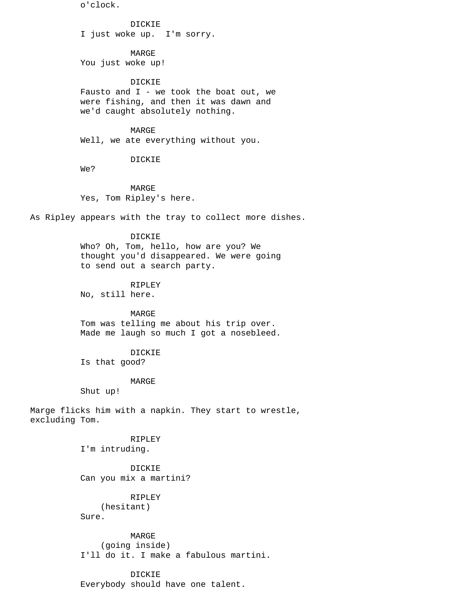o'clock.

 DICKIE I just woke up. I'm sorry.

 MARGE You just woke up!

 DICKIE Fausto and  $I$  - we took the boat out, we were fishing, and then it was dawn and we'd caught absolutely nothing.

MARGE

Well, we ate everything without you.

DICKIE

We?

 MARGE Yes, Tom Ripley's here.

As Ripley appears with the tray to collect more dishes.

 DICKIE Who? Oh, Tom, hello, how are you? We thought you'd disappeared. We were going to send out a search party.

 RIPLEY No, still here.

 MARGE Tom was telling me about his trip over. Made me laugh so much I got a nosebleed.

 DICKIE Is that good?

**MARGE** 

Shut up!

 Marge flicks him with a napkin. They start to wrestle, excluding Tom.

> RIPLEY I'm intruding.

 DICKIE Can you mix a martini?

RIPLEY

 (hesitant) Sure.

 MARGE (going inside) I'll do it. I make a fabulous martini.

 DICKIE Everybody should have one talent.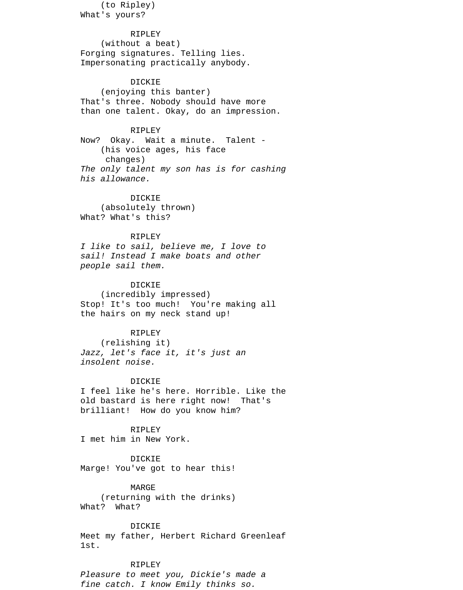(to Ripley) What's yours?

### RIPLEY

 (without a beat) Forging signatures. Telling lies. Impersonating practically anybody.

### DICKIE

 (enjoying this banter) That's three. Nobody should have more than one talent. Okay, do an impression.

## RIPLEY

 Now? Okay. Wait a minute. Talent - (his voice ages, his face changes) *The only talent my son has is for cashing his allowance.*

# DICKIE

 (absolutely thrown) What? What's this?

### RIPLEY

 *I like to sail, believe me, I love to sail! Instead I make boats and other people sail them.*

### DICKIE

 (incredibly impressed) Stop! It's too much! You're making all the hairs on my neck stand up!

## RIPLEY

 (relishing it) *Jazz, let's face it, it's just an insolent noise.*

### DICKIE

 I feel like he's here. Horrible. Like the old bastard is here right now! That's brilliant! How do you know him?

# RIPLEY

I met him in New York.

### DICKIE

Marge! You've got to hear this!

### MARGE

 (returning with the drinks) What? What?

#### DICKIE

 Meet my father, Herbert Richard Greenleaf 1st.

 RIPLEY *Pleasure to meet you, Dickie's made a fine catch. I know Emily thinks so.*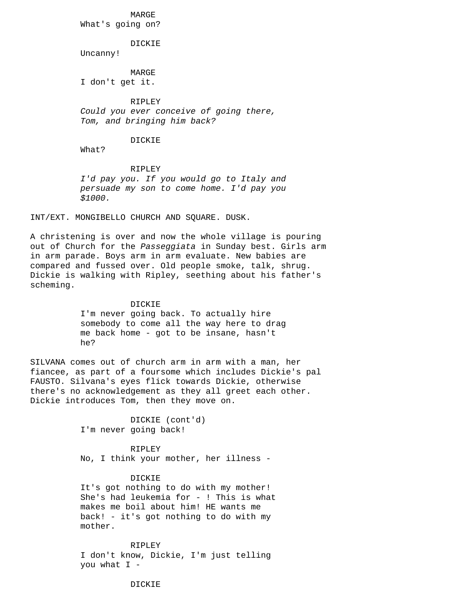MARGE What's going on?

DICKIE

Uncanny!

**MARGE** 

I don't get it.

RIPLEY

 *Could you ever conceive of going there, Tom, and bringing him back?*

### DICKIE

What?

# RIPLEY

 *I'd pay you. If you would go to Italy and persuade my son to come home. I'd pay you \$1000.*

INT/EXT. MONGIBELLO CHURCH AND SQUARE. DUSK.

 A christening is over and now the whole village is pouring out of Church for the *Passeggiata* in Sunday best. Girls arm in arm parade. Boys arm in arm evaluate. New babies are compared and fussed over. Old people smoke, talk, shrug. Dickie is walking with Ripley, seething about his father's scheming.

# DICKIE

 I'm never going back. To actually hire somebody to come all the way here to drag me back home - got to be insane, hasn't he?

 SILVANA comes out of church arm in arm with a man, her fiancee, as part of a foursome which includes Dickie's pal FAUSTO. Silvana's eyes flick towards Dickie, otherwise there's no acknowledgement as they all greet each other. Dickie introduces Tom, then they move on.

> DICKIE (cont'd) I'm never going back!

> > RIPLEY

No, I think your mother, her illness -

# DICKIE

 It's got nothing to do with my mother! She's had leukemia for - ! This is what makes me boil about him! HE wants me back! - it's got nothing to do with my mother.

# RIPLEY

 I don't know, Dickie, I'm just telling you what I -

# DICKIE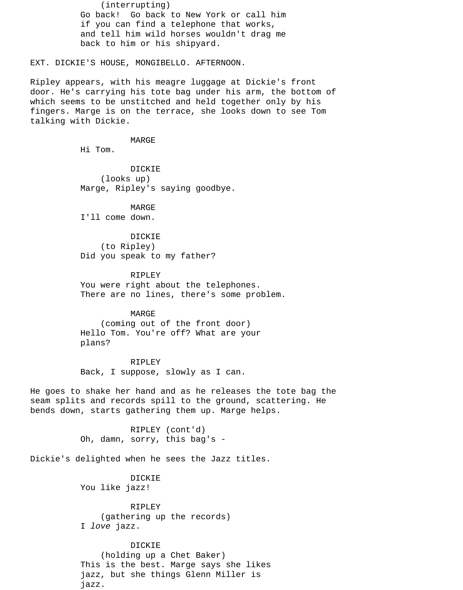(interrupting) Go back! Go back to New York or call him if you can find a telephone that works, and tell him wild horses wouldn't drag me back to him or his shipyard.

EXT. DICKIE'S HOUSE, MONGIBELLO. AFTERNOON.

 Ripley appears, with his meagre luggage at Dickie's front door. He's carrying his tote bag under his arm, the bottom of which seems to be unstitched and held together only by his fingers. Marge is on the terrace, she looks down to see Tom talking with Dickie.

# MARGE

Hi Tom.

 DICKIE (looks up) Marge, Ripley's saying goodbye.

 MARGE I'll come down.

 DICKIE (to Ripley) Did you speak to my father?

 RIPLEY You were right about the telephones. There are no lines, there's some problem.

 MARGE (coming out of the front door) Hello Tom. You're off? What are your plans?

RIPLEY Back, I suppose, slowly as I can.

 He goes to shake her hand and as he releases the tote bag the seam splits and records spill to the ground, scattering. He bends down, starts gathering them up. Marge helps.

> RIPLEY (cont'd) Oh, damn, sorry, this bag's -

Dickie's delighted when he sees the Jazz titles.

DICKIE

You like jazz!

 RIPLEY (gathering up the records) I *love* jazz.

# DICKIE

 (holding up a Chet Baker) This is the best. Marge says she likes jazz, but she things Glenn Miller is jazz.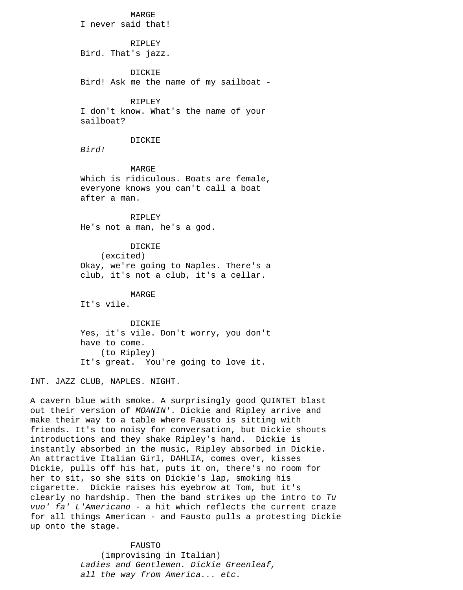### MARGE

I never said that!

 RIPLEY Bird. That's jazz.

 DICKIE Bird! Ask me the name of my sailboat -

RIPLEY

 I don't know. What's the name of your sailboat?

# DICKIE

*Bird!*

 MARGE Which is ridiculous. Boats are female, everyone knows you can't call a boat after a man.

 RIPLEY He's not a man, he's a god.

 DICKIE (excited) Okay, we're going to Naples. There's a club, it's not a club, it's a cellar.

 MARGE It's vile.

# DICKIE

 Yes, it's vile. Don't worry, you don't have to come. (to Ripley) It's great. You're going to love it.

INT. JAZZ CLUB, NAPLES. NIGHT.

 A cavern blue with smoke. A surprisingly good QUINTET blast out their version of *MOANIN'*. Dickie and Ripley arrive and make their way to a table where Fausto is sitting with friends. It's too noisy for conversation, but Dickie shouts introductions and they shake Ripley's hand. Dickie is instantly absorbed in the music, Ripley absorbed in Dickie. An attractive Italian Girl, DAHLIA, comes over, kisses Dickie, pulls off his hat, puts it on, there's no room for her to sit, so she sits on Dickie's lap, smoking his cigarette. Dickie raises his eyebrow at Tom, but it's clearly no hardship. Then the band strikes up the intro to *Tu vuo' fa' L'Americano* - a hit which reflects the current craze for all things American - and Fausto pulls a protesting Dickie up onto the stage.

FAUSTO

 (improvising in Italian) *Ladies and Gentlemen. Dickie Greenleaf, all the way from America... etc.*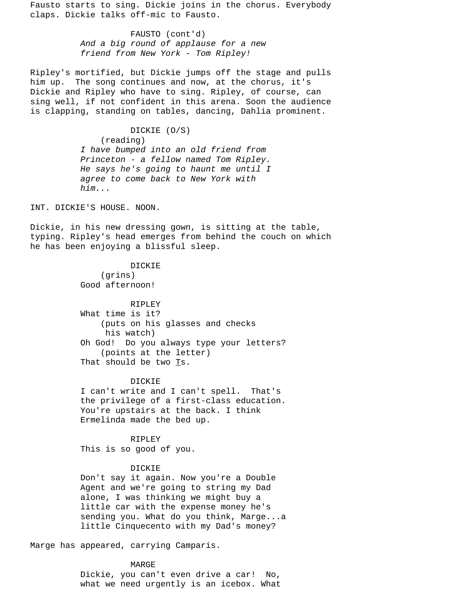Fausto starts to sing. Dickie joins in the chorus. Everybody claps. Dickie talks off-mic to Fausto.

> FAUSTO (cont'd) *And a big round of applause for a new friend from New York - Tom Ripley!*

 Ripley's mortified, but Dickie jumps off the stage and pulls him up. The song continues and now, at the chorus, it's Dickie and Ripley who have to sing. Ripley, of course, can sing well, if not confident in this arena. Soon the audience is clapping, standing on tables, dancing, Dahlia prominent.

> DICKIE (O/S) (reading) *I have bumped into an old friend from Princeton - a fellow named Tom Ripley. He says he's going to haunt me until I agree to come back to New York with him...*

INT. DICKIE'S HOUSE. NOON.

 Dickie, in his new dressing gown, is sitting at the table, typing. Ripley's head emerges from behind the couch on which he has been enjoying a blissful sleep.

DICKIE

 (grins) Good afternoon!

RIPLEY

 What time is it? (puts on his glasses and checks his watch) Oh God! Do you always type your letters? (points at the letter) That should be two Ts.

DICKIE

 I can't write and I can't spell. That's the privilege of a first-class education. You're upstairs at the back. I think Ermelinda made the bed up.

RIPLEY

This is so good of you.

#### DICKIE

 Don't say it again. Now you're a Double Agent and we're going to string my Dad alone, I was thinking we might buy a little car with the expense money he's sending you. What do you think, Marge...a little Cinquecento with my Dad's money?

Marge has appeared, carrying Camparis.

MARGE

 Dickie, you can't even drive a car! No, what we need urgently is an icebox. What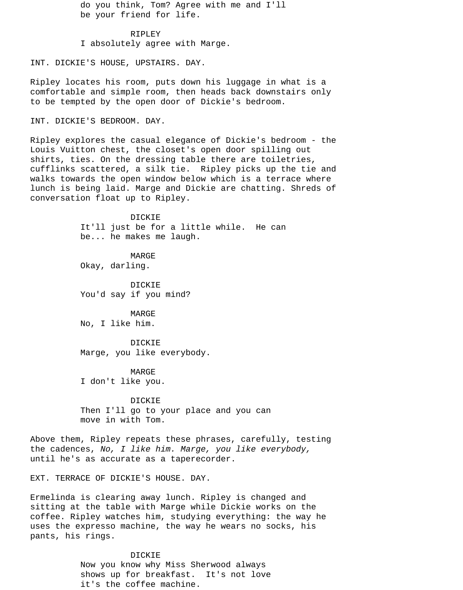do you think, Tom? Agree with me and I'll be your friend for life.

 RIPLEY I absolutely agree with Marge.

INT. DICKIE'S HOUSE, UPSTAIRS. DAY.

 Ripley locates his room, puts down his luggage in what is a comfortable and simple room, then heads back downstairs only to be tempted by the open door of Dickie's bedroom.

INT. DICKIE'S BEDROOM. DAY.

 Ripley explores the casual elegance of Dickie's bedroom - the Louis Vuitton chest, the closet's open door spilling out shirts, ties. On the dressing table there are toiletries, cufflinks scattered, a silk tie. Ripley picks up the tie and walks towards the open window below which is a terrace where lunch is being laid. Marge and Dickie are chatting. Shreds of conversation float up to Ripley.

> DICKIE It'll just be for a little while. He can be... he makes me laugh.

 MARGE Okay, darling.

 DICKIE You'd say if you mind?

MARGE

No, I like him.

 DICKIE Marge, you like everybody.

**MARGE** I don't like you.

 DICKIE Then I'll go to your place and you can move in with Tom.

 Above them, Ripley repeats these phrases, carefully, testing the cadences, *No, I like him. Marge, you like everybody,* until he's as accurate as a taperecorder.

EXT. TERRACE OF DICKIE'S HOUSE. DAY.

 Ermelinda is clearing away lunch. Ripley is changed and sitting at the table with Marge while Dickie works on the coffee. Ripley watches him, studying everything: the way he uses the expresso machine, the way he wears no socks, his pants, his rings.

DICKIE

 Now you know why Miss Sherwood always shows up for breakfast. It's not love it's the coffee machine.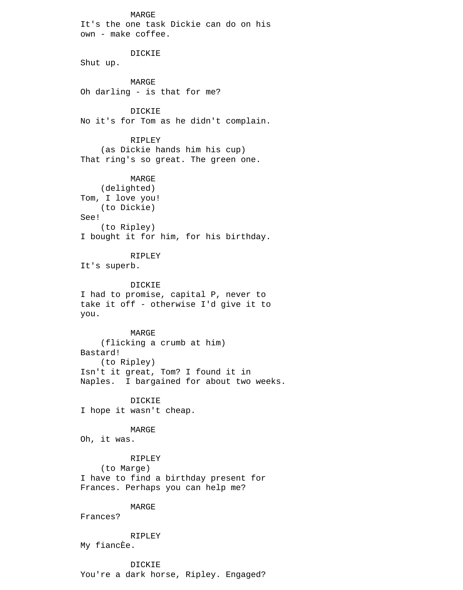MARGE

 It's the one task Dickie can do on his own - make coffee.

 DICKIE Shut up.

 MARGE Oh darling - is that for me?

 DICKIE No it's for Tom as he didn't complain.

 RIPLEY (as Dickie hands him his cup) That ring's so great. The green one.

# MARGE

 (delighted) Tom, I love you! (to Dickie) See! (to Ripley) I bought it for him, for his birthday.

RIPLEY

It's superb.

 DICKIE I had to promise, capital P, never to take it off - otherwise I'd give it to you.

# MARGE (flicking a crumb at him) Bastard! (to Ripley) Isn't it great, Tom? I found it in Naples. I bargained for about two weeks.

 DICKIE I hope it wasn't cheap.

 MARGE Oh, it was.

 RIPLEY (to Marge) I have to find a birthday present for Frances. Perhaps you can help me?

# MARGE

Frances?

 RIPLEY My fiancÈe.

 DICKIE You're a dark horse, Ripley. Engaged?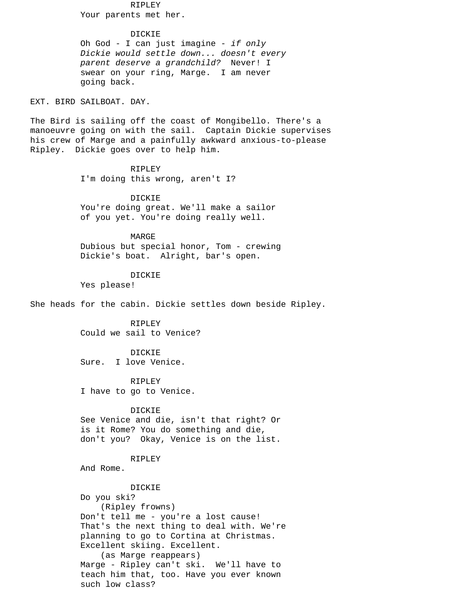RIPLEY Your parents met her.

DICKIE

 Oh God - I can just imagine - *if only Dickie would settle down... doesn't every parent deserve a grandchild?* Never! I swear on your ring, Marge. I am never going back.

EXT. BIRD SAILBOAT. DAY.

 The Bird is sailing off the coast of Mongibello. There's a manoeuvre going on with the sail. Captain Dickie supervises his crew of Marge and a painfully awkward anxious-to-please Ripley. Dickie goes over to help him.

RIPLEY

I'm doing this wrong, aren't I?

DICKIE

 You're doing great. We'll make a sailor of you yet. You're doing really well.

MARGE

 Dubious but special honor, Tom - crewing Dickie's boat. Alright, bar's open.

DICKIE

Yes please!

She heads for the cabin. Dickie settles down beside Ripley.

 RIPLEY Could we sail to Venice?

 DICKIE Sure. I love Venice.

 RIPLEY I have to go to Venice.

DICKIE

 See Venice and die, isn't that right? Or is it Rome? You do something and die, don't you? Okay, Venice is on the list.

RIPLEY

And Rome.

DICKIE

 Do you ski? (Ripley frowns) Don't tell me - you're a lost cause! That's the next thing to deal with. We're planning to go to Cortina at Christmas. Excellent skiing. Excellent. (as Marge reappears) Marge - Ripley can't ski. We'll have to teach him that, too. Have you ever known such low class?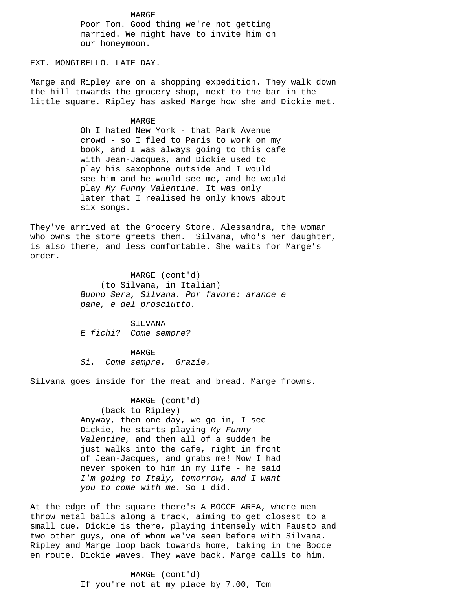MARGE Poor Tom. Good thing we're not getting married. We might have to invite him on our honeymoon.

EXT. MONGIBELLO. LATE DAY.

 Marge and Ripley are on a shopping expedition. They walk down the hill towards the grocery shop, next to the bar in the little square. Ripley has asked Marge how she and Dickie met.

MARGE.

 Oh I hated New York - that Park Avenue crowd - so I fled to Paris to work on my book, and I was always going to this cafe with Jean-Jacques, and Dickie used to play his saxophone outside and I would see him and he would see me, and he would play *My Funny Valentine.* It was only later that I realised he only knows about six songs.

 They've arrived at the Grocery Store. Alessandra, the woman who owns the store greets them. Silvana, who's her daughter, is also there, and less comfortable. She waits for Marge's order.

> MARGE (cont'd) (to Silvana, in Italian) *Buono Sera, Silvana. Por favore: arance e pane, e del prosciutto.*

 SILVANA *E fichi? Come sempre?*

 MARGE *Si. Come sempre. Grazie.*

Silvana goes inside for the meat and bread. Marge frowns.

 MARGE (cont'd) (back to Ripley) Anyway, then one day, we go in, I see Dickie, he starts playing *My Funny Valentine,* and then all of a sudden he just walks into the cafe, right in front of Jean-Jacques, and grabs me! Now I had never spoken to him in my life - he said *I'm going to Italy, tomorrow, and I want you to come with me.* So I did.

 At the edge of the square there's A BOCCE AREA, where men throw metal balls along a track, aiming to get closest to a small cue. Dickie is there, playing intensely with Fausto and two other guys, one of whom we've seen before with Silvana. Ripley and Marge loop back towards home, taking in the Bocce en route. Dickie waves. They wave back. Marge calls to him.

> MARGE (cont'd) If you're not at my place by 7.00, Tom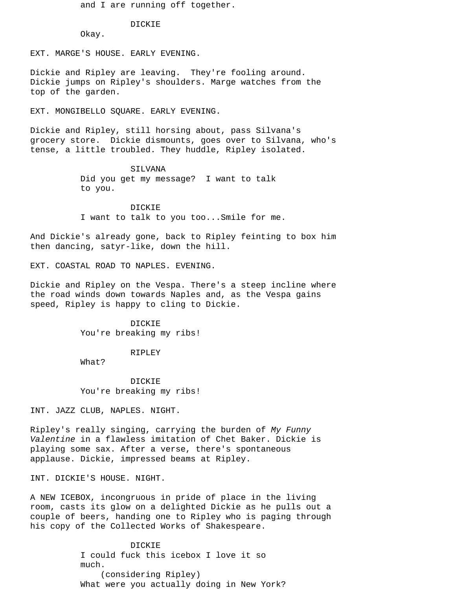and I are running off together.

DICKIE

Okay.

EXT. MARGE'S HOUSE. EARLY EVENING.

 Dickie and Ripley are leaving. They're fooling around. Dickie jumps on Ripley's shoulders. Marge watches from the top of the garden.

EXT. MONGIBELLO SQUARE. EARLY EVENING.

 Dickie and Ripley, still horsing about, pass Silvana's grocery store. Dickie dismounts, goes over to Silvana, who's tense, a little troubled. They huddle, Ripley isolated.

> SILVANA Did you get my message? I want to talk to you.

 DICKIE I want to talk to you too...Smile for me.

 And Dickie's already gone, back to Ripley feinting to box him then dancing, satyr-like, down the hill.

EXT. COASTAL ROAD TO NAPLES. EVENING.

 Dickie and Ripley on the Vespa. There's a steep incline where the road winds down towards Naples and, as the Vespa gains speed, Ripley is happy to cling to Dickie.

> DICKIE You're breaking my ribs!

> > RIPLEY

What?

**DICKIE** You're breaking my ribs!

INT. JAZZ CLUB, NAPLES. NIGHT.

 Ripley's really singing, carrying the burden of *My Funny Valentine* in a flawless imitation of Chet Baker. Dickie is playing some sax. After a verse, there's spontaneous applause. Dickie, impressed beams at Ripley.

INT. DICKIE'S HOUSE. NIGHT.

 A NEW ICEBOX, incongruous in pride of place in the living room, casts its glow on a delighted Dickie as he pulls out a couple of beers, handing one to Ripley who is paging through his copy of the Collected Works of Shakespeare.

> DICKIE I could fuck this icebox I love it so much. (considering Ripley) What were you actually doing in New York?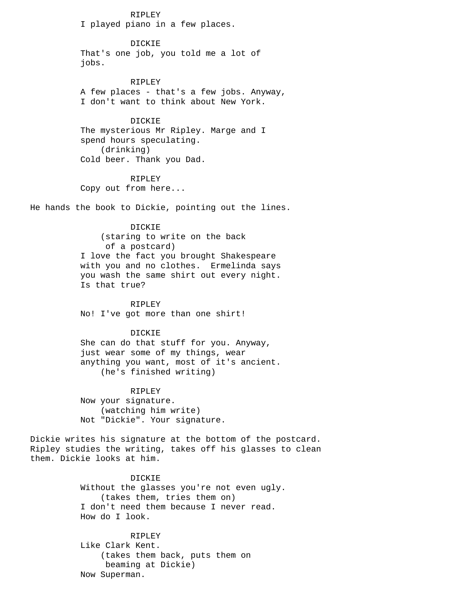RIPLEY I played piano in a few places.

 DICKIE That's one job, you told me a lot of jobs.

 RIPLEY A few places - that's a few jobs. Anyway, I don't want to think about New York.

 DICKIE The mysterious Mr Ripley. Marge and I spend hours speculating. (drinking) Cold beer. Thank you Dad.

 RIPLEY Copy out from here...

He hands the book to Dickie, pointing out the lines.

 DICKIE (staring to write on the back of a postcard) I love the fact you brought Shakespeare with you and no clothes. Ermelinda says you wash the same shirt out every night. Is that true?

 RIPLEY No! I've got more than one shirt!

 DICKIE She can do that stuff for you. Anyway, just wear some of my things, wear anything you want, most of it's ancient. (he's finished writing)

 RIPLEY Now your signature.

 (watching him write) Not "Dickie". Your signature.

 Dickie writes his signature at the bottom of the postcard. Ripley studies the writing, takes off his glasses to clean them. Dickie looks at him.

## DICKIE

 Without the glasses you're not even ugly. (takes them, tries them on) I don't need them because I never read. How do I look.

RIPLEY

 Like Clark Kent. (takes them back, puts them on beaming at Dickie) Now Superman.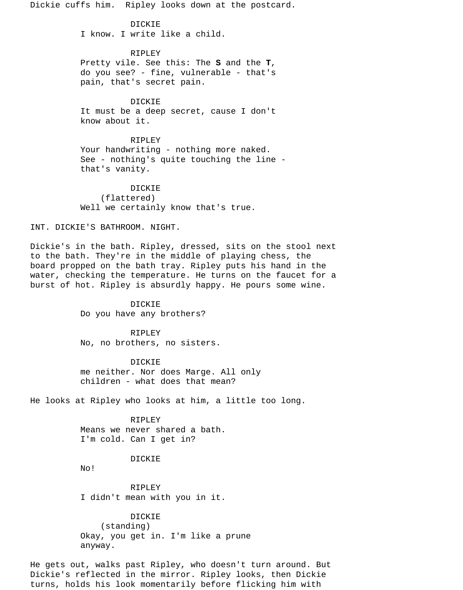Dickie cuffs him. Ripley looks down at the postcard.

 DICKIE I know. I write like a child.

 RIPLEY Pretty vile. See this: The **S** and the **T**, do you see? - fine, vulnerable - that's pain, that's secret pain.

#### DICKIE

 It must be a deep secret, cause I don't know about it.

### RIPLEY

Your handwriting - nothing more naked. See - nothing's quite touching the line that's vanity.

 DICKIE (flattered) Well we certainly know that's true.

INT. DICKIE'S BATHROOM. NIGHT.

 Dickie's in the bath. Ripley, dressed, sits on the stool next to the bath. They're in the middle of playing chess, the board propped on the bath tray. Ripley puts his hand in the water, checking the temperature. He turns on the faucet for a burst of hot. Ripley is absurdly happy. He pours some wine.

> DICKIE Do you have any brothers?

 RIPLEY No, no brothers, no sisters.

 DICKIE me neither. Nor does Marge. All only children - what does that mean?

He looks at Ripley who looks at him, a little too long.

RIPLEY Means we never shared a bath. I'm cold. Can I get in?

DICKIE

No!

 RIPLEY I didn't mean with you in it.

DICKIE

 (standing) Okay, you get in. I'm like a prune anyway.

 He gets out, walks past Ripley, who doesn't turn around. But Dickie's reflected in the mirror. Ripley looks, then Dickie turns, holds his look momentarily before flicking him with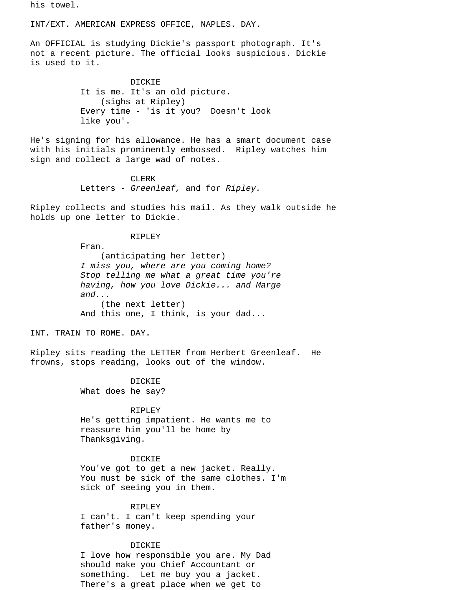his towel.

INT/EXT. AMERICAN EXPRESS OFFICE, NAPLES. DAY.

 An OFFICIAL is studying Dickie's passport photograph. It's not a recent picture. The official looks suspicious. Dickie is used to it.

> DICKIE It is me. It's an old picture. (sighs at Ripley) Every time - 'is it you? Doesn't look like you'.

 He's signing for his allowance. He has a smart document case with his initials prominently embossed. Ripley watches him sign and collect a large wad of notes.

> CLERK Letters - *Greenleaf,* and for *Ripley.*

 Ripley collects and studies his mail. As they walk outside he holds up one letter to Dickie.

#### RIPLEY

 Fran. (anticipating her letter) *I miss you, where are you coming home? Stop telling me what a great time you're having, how you love Dickie... and Marge and...* (the next letter) And this one, I think, is your dad...

INT. TRAIN TO ROME. DAY.

 Ripley sits reading the LETTER from Herbert Greenleaf. He frowns, stops reading, looks out of the window.

**DICKIE** 

What does he say?

#### RIPLEY

 He's getting impatient. He wants me to reassure him you'll be home by Thanksgiving.

### DICKIE

 You've got to get a new jacket. Really. You must be sick of the same clothes. I'm sick of seeing you in them.

### RIPLEY

 I can't. I can't keep spending your father's money.

#### DICKIE

 I love how responsible you are. My Dad should make you Chief Accountant or something. Let me buy you a jacket. There's a great place when we get to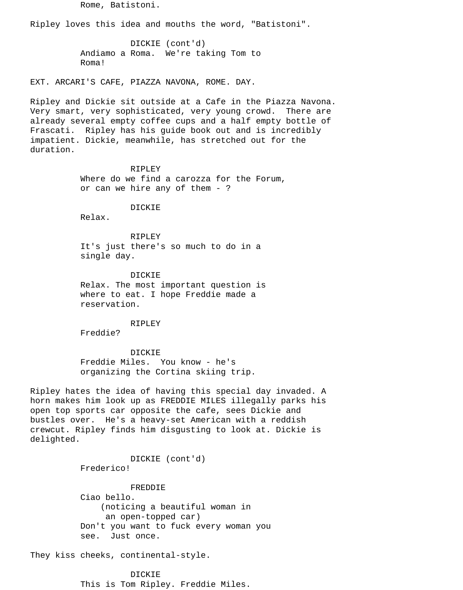Rome, Batistoni.

Ripley loves this idea and mouths the word, "Batistoni".

 DICKIE (cont'd) Andiamo a Roma. We're taking Tom to Roma!

EXT. ARCARI'S CAFE, PIAZZA NAVONA, ROME. DAY.

 Ripley and Dickie sit outside at a Cafe in the Piazza Navona. Very smart, very sophisticated, very young crowd. There are already several empty coffee cups and a half empty bottle of Frascati. Ripley has his guide book out and is incredibly impatient. Dickie, meanwhile, has stretched out for the duration.

> RIPLEY Where do we find a carozza for the Forum, or can we hire any of them - ?

> > DICKIE

Relax.

 RIPLEY It's just there's so much to do in a single day.

 DICKIE Relax. The most important question is where to eat. I hope Freddie made a reservation.

RIPLEY

Freddie?

 DICKIE Freddie Miles. You know - he's organizing the Cortina skiing trip.

 Ripley hates the idea of having this special day invaded. A horn makes him look up as FREDDIE MILES illegally parks his open top sports car opposite the cafe, sees Dickie and bustles over. He's a heavy-set American with a reddish crewcut. Ripley finds him disgusting to look at. Dickie is delighted.

> DICKIE (cont'd) Frederico!

> > FREDDIE

 Ciao bello. (noticing a beautiful woman in an open-topped car) Don't you want to fuck every woman you see. Just once.

They kiss cheeks, continental-style.

 DICKIE This is Tom Ripley. Freddie Miles.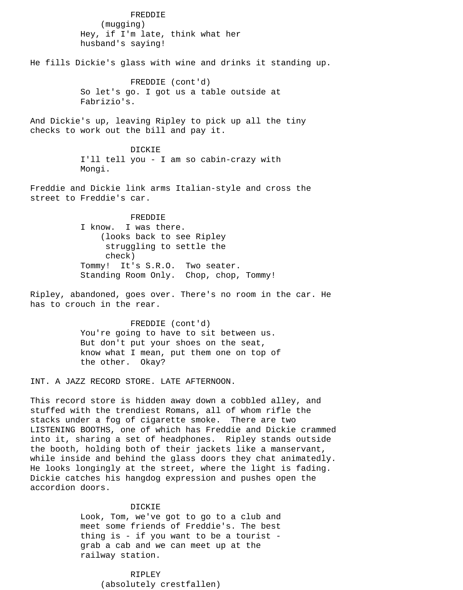FREDDIE (mugging) Hey, if I'm late, think what her husband's saying! He fills Dickie's glass with wine and drinks it standing up. FREDDIE (cont'd) So let's go. I got us a table outside at Fabrizio's. And Dickie's up, leaving Ripley to pick up all the tiny checks to work out the bill and pay it. DICKIE I'll tell you - I am so cabin-crazy with Mongi. Freddie and Dickie link arms Italian-style and cross the street to Freddie's car. FREDDIE I know. I was there. (looks back to see Ripley struggling to settle the check) Tommy! It's S.R.O. Two seater. Standing Room Only. Chop, chop, Tommy! Ripley, abandoned, goes over. There's no room in the car. He has to crouch in the rear. FREDDIE (cont'd) You're going to have to sit between us. But don't put your shoes on the seat, know what I mean, put them one on top of the other. Okay? INT. A JAZZ RECORD STORE. LATE AFTERNOON. This record store is hidden away down a cobbled alley, and stuffed with the trendiest Romans, all of whom rifle the stacks under a fog of cigarette smoke. There are two LISTENING BOOTHS, one of which has Freddie and Dickie crammed into it, sharing a set of headphones. Ripley stands outside the booth, holding both of their jackets like a manservant, while inside and behind the glass doors they chat animatedly. He looks longingly at the street, where the light is fading.

### DICKIE

accordion doors.

 Look, Tom, we've got to go to a club and meet some friends of Freddie's. The best thing is - if you want to be a tourist grab a cab and we can meet up at the railway station.

Dickie catches his hangdog expression and pushes open the

 RIPLEY (absolutely crestfallen)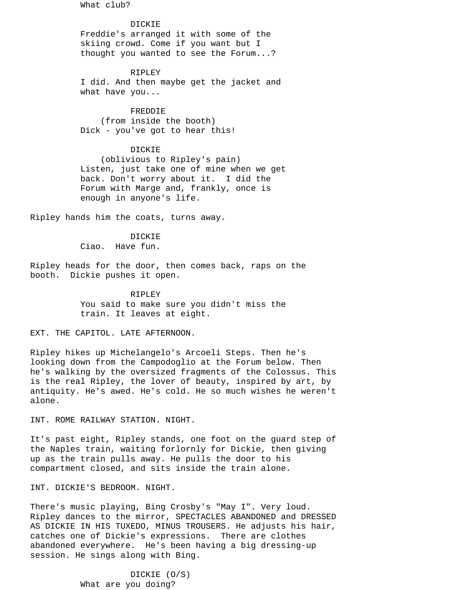What club?

#### DICKIE

 Freddie's arranged it with some of the skiing crowd. Come if you want but I thought you wanted to see the Forum...?

 RIPLEY I did. And then maybe get the jacket and

what have you...

 FREDDIE (from inside the booth) Dick - you've got to hear this!

### DICKIE

 (oblivious to Ripley's pain) Listen, just take one of mine when we get back. Don't worry about it. I did the Forum with Marge and, frankly, once is enough in anyone's life.

Ripley hands him the coats, turns away.

#### DICKIE

Ciao. Have fun.

 Ripley heads for the door, then comes back, raps on the booth. Dickie pushes it open.

#### RIPLEY

 You said to make sure you didn't miss the train. It leaves at eight.

EXT. THE CAPITOL. LATE AFTERNOON.

 Ripley hikes up Michelangelo's Arcoeli Steps. Then he's looking down from the Campodoglio at the Forum below. Then he's walking by the oversized fragments of the Colossus. This is the real Ripley, the lover of beauty, inspired by art, by antiquity. He's awed. He's cold. He so much wishes he weren't alone.

INT. ROME RAILWAY STATION. NIGHT.

 It's past eight, Ripley stands, one foot on the guard step of the Naples train, waiting forlornly for Dickie, then giving up as the train pulls away. He pulls the door to his compartment closed, and sits inside the train alone.

INT. DICKIE'S BEDROOM. NIGHT.

 There's music playing, Bing Crosby's "May I". Very loud. Ripley dances to the mirror, SPECTACLES ABANDONED and DRESSED AS DICKIE IN HIS TUXEDO, MINUS TROUSERS. He adjusts his hair, catches one of Dickie's expressions. There are clothes abandoned everywhere. He's been having a big dressing-up session. He sings along with Bing.

> DICKIE (O/S) What are you doing?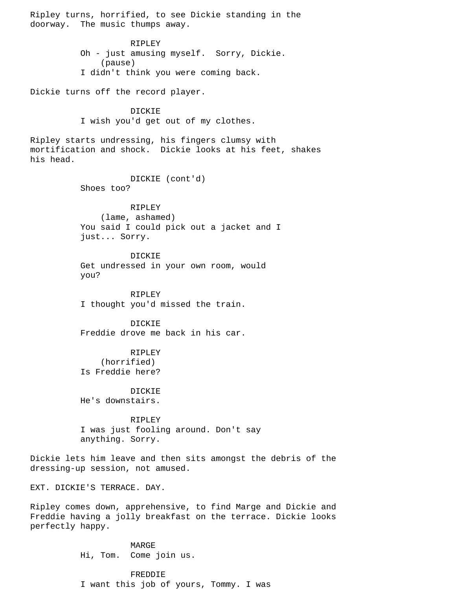Ripley turns, horrified, to see Dickie standing in the doorway. The music thumps away.

> RIPLEY Oh - just amusing myself. Sorry, Dickie. (pause) I didn't think you were coming back.

Dickie turns off the record player.

 DICKIE I wish you'd get out of my clothes.

 Ripley starts undressing, his fingers clumsy with mortification and shock. Dickie looks at his feet, shakes his head.

> DICKIE (cont'd) Shoes too?

 RIPLEY (lame, ashamed) You said I could pick out a jacket and I just... Sorry.

 DICKIE Get undressed in your own room, would you?

 RIPLEY I thought you'd missed the train.

 DICKIE Freddie drove me back in his car.

 RIPLEY (horrified) Is Freddie here?

 DICKIE He's downstairs.

 RIPLEY I was just fooling around. Don't say anything. Sorry.

 Dickie lets him leave and then sits amongst the debris of the dressing-up session, not amused.

EXT. DICKIE'S TERRACE. DAY.

 Ripley comes down, apprehensive, to find Marge and Dickie and Freddie having a jolly breakfast on the terrace. Dickie looks perfectly happy.

> MARGE Hi, Tom. Come join us.

 FREDDIE I want this job of yours, Tommy. I was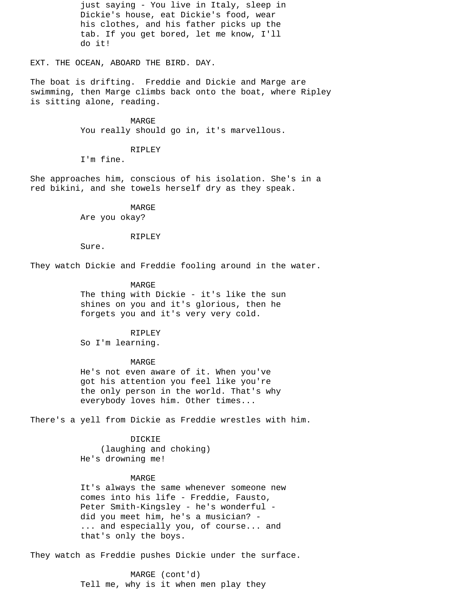just saying - You live in Italy, sleep in Dickie's house, eat Dickie's food, wear his clothes, and his father picks up the tab. If you get bored, let me know, I'll do it!

EXT. THE OCEAN, ABOARD THE BIRD. DAY.

 The boat is drifting. Freddie and Dickie and Marge are swimming, then Marge climbs back onto the boat, where Ripley is sitting alone, reading.

> MARGE You really should go in, it's marvellous.

# RIPLEY

I'm fine.

 She approaches him, conscious of his isolation. She's in a red bikini, and she towels herself dry as they speak.

#### MARGE

Are you okay?

### RIPLEY

Sure.

They watch Dickie and Freddie fooling around in the water.

 MARGE The thing with Dickie - it's like the sun shines on you and it's glorious, then he forgets you and it's very very cold.

#### RIPLEY

So I'm learning.

#### **MARGE**

 He's not even aware of it. When you've got his attention you feel like you're the only person in the world. That's why everybody loves him. Other times...

There's a yell from Dickie as Freddie wrestles with him.

#### DICKIE

 (laughing and choking) He's drowning me!

### MARGE

 It's always the same whenever someone new comes into his life - Freddie, Fausto, Peter Smith-Kingsley - he's wonderful did you meet him, he's a musician? - ... and especially you, of course... and that's only the boys.

They watch as Freddie pushes Dickie under the surface.

 MARGE (cont'd) Tell me, why is it when men play they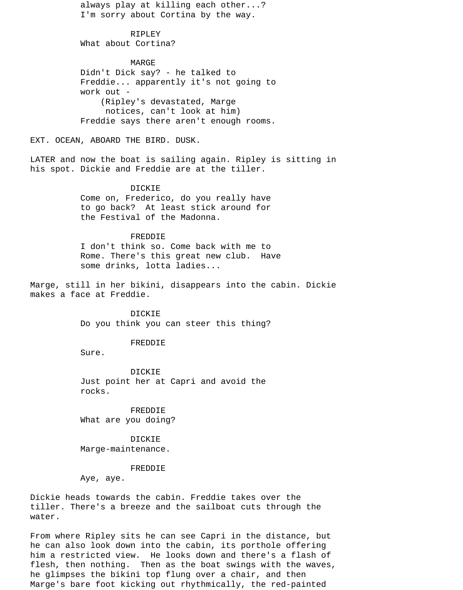always play at killing each other...? I'm sorry about Cortina by the way.

 RIPLEY What about Cortina?

 MARGE Didn't Dick say? - he talked to Freddie... apparently it's not going to work out - (Ripley's devastated, Marge notices, can't look at him) Freddie says there aren't enough rooms.

EXT. OCEAN, ABOARD THE BIRD. DUSK.

 LATER and now the boat is sailing again. Ripley is sitting in his spot. Dickie and Freddie are at the tiller.

> DICKIE Come on, Frederico, do you really have to go back? At least stick around for the Festival of the Madonna.

#### FREDDIE

 I don't think so. Come back with me to Rome. There's this great new club. Have some drinks, lotta ladies...

 Marge, still in her bikini, disappears into the cabin. Dickie makes a face at Freddie.

DICKIE

Do you think you can steer this thing?

FREDDIE

Sure.

 DICKIE Just point her at Capri and avoid the rocks.

 FREDDIE What are you doing?

DICKIE

Marge-maintenance.

FREDDIE

Aye, aye.

 Dickie heads towards the cabin. Freddie takes over the tiller. There's a breeze and the sailboat cuts through the water.

 From where Ripley sits he can see Capri in the distance, but he can also look down into the cabin, its porthole offering him a restricted view. He looks down and there's a flash of flesh, then nothing. Then as the boat swings with the waves, he glimpses the bikini top flung over a chair, and then Marge's bare foot kicking out rhythmically, the red-painted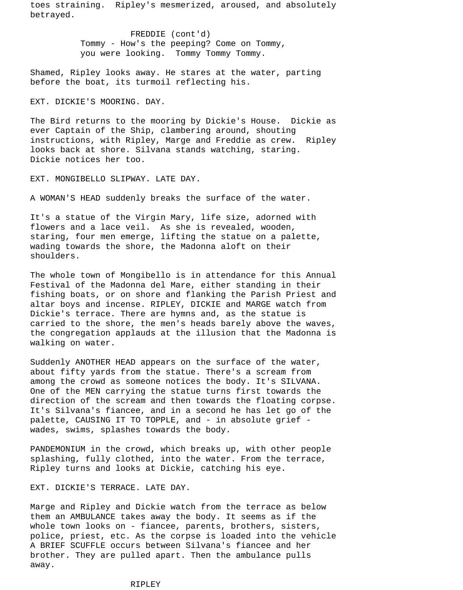toes straining. Ripley's mesmerized, aroused, and absolutely betrayed.

> FREDDIE (cont'd) Tommy - How's the peeping? Come on Tommy, you were looking. Tommy Tommy Tommy.

 Shamed, Ripley looks away. He stares at the water, parting before the boat, its turmoil reflecting his.

EXT. DICKIE'S MOORING. DAY.

 The Bird returns to the mooring by Dickie's House. Dickie as ever Captain of the Ship, clambering around, shouting instructions, with Ripley, Marge and Freddie as crew. Ripley looks back at shore. Silvana stands watching, staring. Dickie notices her too.

EXT. MONGIBELLO SLIPWAY. LATE DAY.

A WOMAN'S HEAD suddenly breaks the surface of the water.

 It's a statue of the Virgin Mary, life size, adorned with flowers and a lace veil. As she is revealed, wooden, staring, four men emerge, lifting the statue on a palette, wading towards the shore, the Madonna aloft on their shoulders.

 The whole town of Mongibello is in attendance for this Annual Festival of the Madonna del Mare, either standing in their fishing boats, or on shore and flanking the Parish Priest and altar boys and incense. RIPLEY, DICKIE and MARGE watch from Dickie's terrace. There are hymns and, as the statue is carried to the shore, the men's heads barely above the waves, the congregation applauds at the illusion that the Madonna is walking on water.

 Suddenly ANOTHER HEAD appears on the surface of the water, about fifty yards from the statue. There's a scream from among the crowd as someone notices the body. It's SILVANA. One of the MEN carrying the statue turns first towards the direction of the scream and then towards the floating corpse. It's Silvana's fiancee, and in a second he has let go of the palette, CAUSING IT TO TOPPLE, and - in absolute grief wades, swims, splashes towards the body.

 PANDEMONIUM in the crowd, which breaks up, with other people splashing, fully clothed, into the water. From the terrace, Ripley turns and looks at Dickie, catching his eye.

EXT. DICKIE'S TERRACE. LATE DAY.

 Marge and Ripley and Dickie watch from the terrace as below them an AMBULANCE takes away the body. It seems as if the whole town looks on - fiancee, parents, brothers, sisters, police, priest, etc. As the corpse is loaded into the vehicle A BRIEF SCUFFLE occurs between Silvana's fiancee and her brother. They are pulled apart. Then the ambulance pulls away.

#### RIPLEY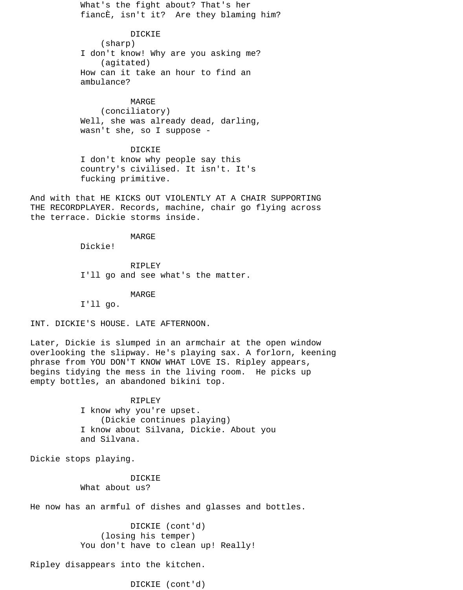What's the fight about? That's her fiancÈ, isn't it? Are they blaming him?

 DICKIE (sharp) I don't know! Why are you asking me? (agitated) How can it take an hour to find an ambulance?

### MARGE

 (conciliatory) Well, she was already dead, darling, wasn't she, so I suppose -

 DICKIE I don't know why people say this country's civilised. It isn't. It's fucking primitive.

 And with that HE KICKS OUT VIOLENTLY AT A CHAIR SUPPORTING THE RECORDPLAYER. Records, machine, chair go flying across the terrace. Dickie storms inside.

### MARGE

Dickie!

 RIPLEY I'll go and see what's the matter.

MARGE

I'll go.

INT. DICKIE'S HOUSE. LATE AFTERNOON.

 Later, Dickie is slumped in an armchair at the open window overlooking the slipway. He's playing sax. A forlorn, keening phrase from YOU DON'T KNOW WHAT LOVE IS. Ripley appears, begins tidying the mess in the living room. He picks up empty bottles, an abandoned bikini top.

> RIPLEY I know why you're upset. (Dickie continues playing) I know about Silvana, Dickie. About you and Silvana.

Dickie stops playing.

 DICKIE What about us?

He now has an armful of dishes and glasses and bottles.

 DICKIE (cont'd) (losing his temper) You don't have to clean up! Really!

Ripley disappears into the kitchen.

DICKIE (cont'd)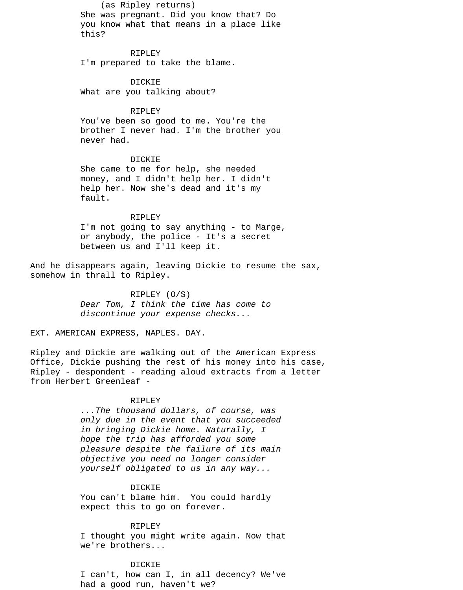(as Ripley returns) She was pregnant. Did you know that? Do you know what that means in a place like this?

 RIPLEY I'm prepared to take the blame.

 DICKIE What are you talking about?

#### RIPLEY

 You've been so good to me. You're the brother I never had. I'm the brother you never had.

#### DICKIE

 She came to me for help, she needed money, and I didn't help her. I didn't help her. Now she's dead and it's my fault.

 RIPLEY I'm not going to say anything - to Marge, or anybody, the police - It's a secret between us and I'll keep it.

 And he disappears again, leaving Dickie to resume the sax, somehow in thrall to Ripley.

> RIPLEY (O/S) *Dear Tom, I think the time has come to discontinue your expense checks...*

EXT. AMERICAN EXPRESS, NAPLES. DAY.

 Ripley and Dickie are walking out of the American Express Office, Dickie pushing the rest of his money into his case, Ripley - despondent - reading aloud extracts from a letter from Herbert Greenleaf -

#### RIPLEY

 *...The thousand dollars, of course, was only due in the event that you succeeded in bringing Dickie home. Naturally, I hope the trip has afforded you some pleasure despite the failure of its main objective you need no longer consider yourself obligated to us in any way...*

# DICKIE

 You can't blame him. You could hardly expect this to go on forever.

### RIPLEY

 I thought you might write again. Now that we're brothers...

### DICKIE

 I can't, how can I, in all decency? We've had a good run, haven't we?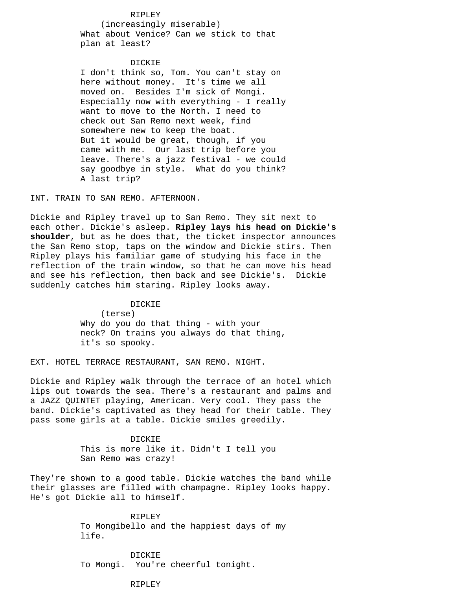### RIPLEY

 (increasingly miserable) What about Venice? Can we stick to that plan at least?

#### DICKIE

 I don't think so, Tom. You can't stay on here without money. It's time we all moved on. Besides I'm sick of Mongi. Especially now with everything - I really want to move to the North. I need to check out San Remo next week, find somewhere new to keep the boat. But it would be great, though, if you came with me. Our last trip before you leave. There's a jazz festival - we could say goodbye in style. What do you think? A last trip?

INT. TRAIN TO SAN REMO. AFTERNOON.

 Dickie and Ripley travel up to San Remo. They sit next to each other. Dickie's asleep. **Ripley lays his head on Dickie's shoulder**, but as he does that, the ticket inspector announces the San Remo stop, taps on the window and Dickie stirs. Then Ripley plays his familiar game of studying his face in the reflection of the train window, so that he can move his head and see his reflection, then back and see Dickie's. Dickie suddenly catches him staring. Ripley looks away.

DICKIE

 (terse) Why do you do that thing - with your neck? On trains you always do that thing, it's so spooky.

EXT. HOTEL TERRACE RESTAURANT, SAN REMO. NIGHT.

 Dickie and Ripley walk through the terrace of an hotel which lips out towards the sea. There's a restaurant and palms and a JAZZ QUINTET playing, American. Very cool. They pass the band. Dickie's captivated as they head for their table. They pass some girls at a table. Dickie smiles greedily.

> DICKIE This is more like it. Didn't I tell you San Remo was crazy!

 They're shown to a good table. Dickie watches the band while their glasses are filled with champagne. Ripley looks happy. He's got Dickie all to himself.

> RIPLEY To Mongibello and the happiest days of my life.

 DICKIE To Mongi. You're cheerful tonight.

# RIPLEY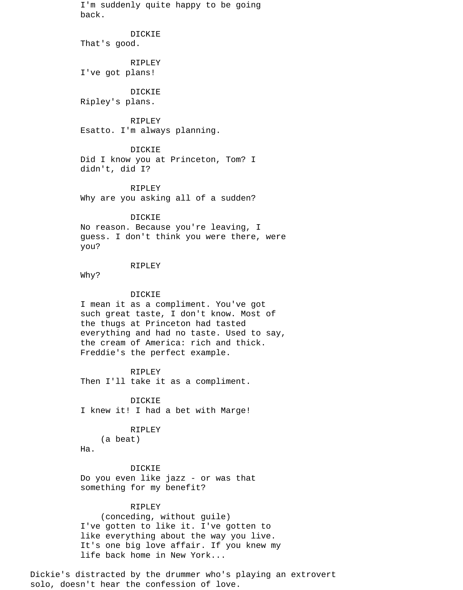I'm suddenly quite happy to be going back.

 DICKIE That's good.

 RIPLEY I've got plans!

 DICKIE Ripley's plans.

 RIPLEY Esatto. I'm always planning.

 DICKIE Did I know you at Princeton, Tom? I didn't, did I?

 RIPLEY Why are you asking all of a sudden?

DICKIE

 No reason. Because you're leaving, I guess. I don't think you were there, were you?

RIPLEY

Why?

#### DICKIE

 I mean it as a compliment. You've got such great taste, I don't know. Most of the thugs at Princeton had tasted everything and had no taste. Used to say, the cream of America: rich and thick. Freddie's the perfect example.

RIPLEY

Then I'll take it as a compliment.

 DICKIE I knew it! I had a bet with Marge!

RIPLEY

(a beat)

Ha.

 DICKIE Do you even like jazz - or was that something for my benefit?

### RIPLEY

 (conceding, without guile) I've gotten to like it. I've gotten to like everything about the way you live. It's one big love affair. If you knew my life back home in New York...

 Dickie's distracted by the drummer who's playing an extrovert solo, doesn't hear the confession of love.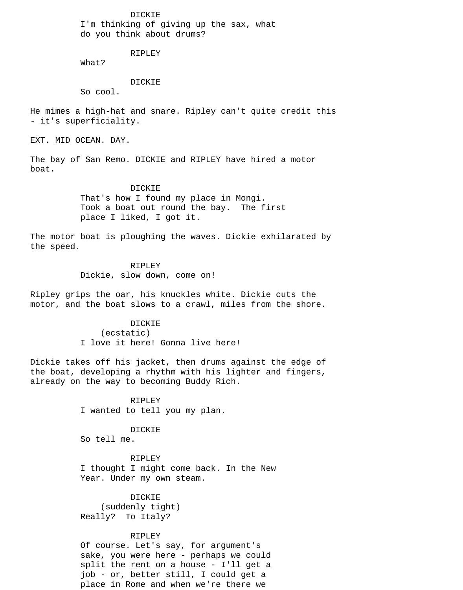DICKIE

 I'm thinking of giving up the sax, what do you think about drums?

## RIPLEY

What?

### DICKIE

So cool.

 He mimes a high-hat and snare. Ripley can't quite credit this - it's superficiality.

EXT. MID OCEAN. DAY.

 The bay of San Remo. DICKIE and RIPLEY have hired a motor boat.

> DICKIE That's how I found my place in Mongi. Took a boat out round the bay. The first place I liked, I got it.

 The motor boat is ploughing the waves. Dickie exhilarated by the speed.

> RIPLEY Dickie, slow down, come on!

 Ripley grips the oar, his knuckles white. Dickie cuts the motor, and the boat slows to a crawl, miles from the shore.

#### DICKIE

 (ecstatic) I love it here! Gonna live here!

 Dickie takes off his jacket, then drums against the edge of the boat, developing a rhythm with his lighter and fingers, already on the way to becoming Buddy Rich.

> RIPLEY I wanted to tell you my plan.

> > DICKIE

So tell me.

RIPLEY I thought I might come back. In the New Year. Under my own steam.

DICKIE

 (suddenly tight) Really? To Italy?

### RIPLEY

 Of course. Let's say, for argument's sake, you were here - perhaps we could split the rent on a house - I'll get a job - or, better still, I could get a place in Rome and when we're there we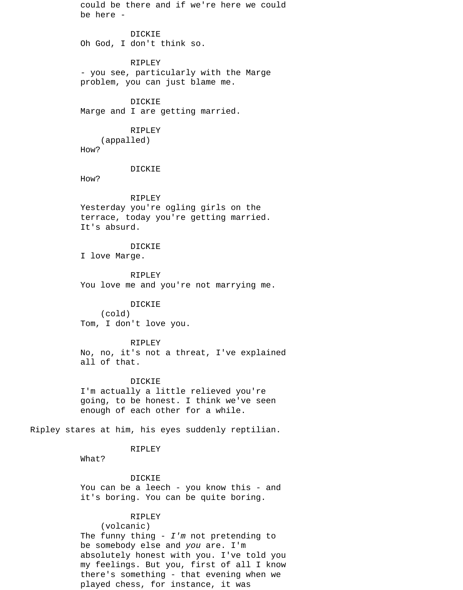could be there and if we're here we could be here - DICKIE Oh God, I don't think so. RIPLEY - you see, particularly with the Marge

 problem, you can just blame me. DICKIE

Marge and I are getting married.

RIPLEY

 (appalled) How?

DICKIE

How?

### RIPLEY

 Yesterday you're ogling girls on the terrace, today you're getting married. It's absurd.

# DICKIE

I love Marge.

RIPLEY

You love me and you're not marrying me.

## DICKIE

 (cold) Tom, I don't love you.

#### RIPLEY

 No, no, it's not a threat, I've explained all of that.

## DICKIE

 I'm actually a little relieved you're going, to be honest. I think we've seen enough of each other for a while.

Ripley stares at him, his eyes suddenly reptilian.

# RIPLEY

What?

## DICKIE

You can be a leech - you know this - and it's boring. You can be quite boring.

# RIPLEY

 (volcanic) The funny thing - *I'm* not pretending to be somebody else and *you* are. I'm absolutely honest with you. I've told you my feelings. But you, first of all I know there's something - that evening when we played chess, for instance, it was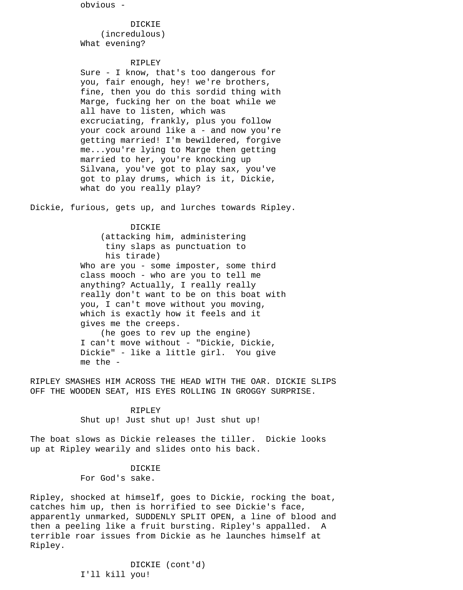obvious -

## DICKIE

 (incredulous) What evening?

### RIPLEY

 Sure - I know, that's too dangerous for you, fair enough, hey! we're brothers, fine, then you do this sordid thing with Marge, fucking her on the boat while we all have to listen, which was excruciating, frankly, plus you follow your cock around like a - and now you're getting married! I'm bewildered, forgive me...you're lying to Marge then getting married to her, you're knocking up Silvana, you've got to play sax, you've got to play drums, which is it, Dickie, what do you really play?

Dickie, furious, gets up, and lurches towards Ripley.

## DICKIE

 (attacking him, administering tiny slaps as punctuation to his tirade) Who are you - some imposter, some third class mooch - who are you to tell me anything? Actually, I really really really don't want to be on this boat with you, I can't move without you moving, which is exactly how it feels and it gives me the creeps. (he goes to rev up the engine) I can't move without - "Dickie, Dickie, Dickie" - like a little girl. You give me the -

 RIPLEY SMASHES HIM ACROSS THE HEAD WITH THE OAR. DICKIE SLIPS OFF THE WOODEN SEAT, HIS EYES ROLLING IN GROGGY SURPRISE.

#### RIPLEY

Shut up! Just shut up! Just shut up!

 The boat slows as Dickie releases the tiller. Dickie looks up at Ripley wearily and slides onto his back.

### DICKIE

For God's sake.

 Ripley, shocked at himself, goes to Dickie, rocking the boat, catches him up, then is horrified to see Dickie's face, apparently unmarked, SUDDENLY SPLIT OPEN, a line of blood and then a peeling like a fruit bursting. Ripley's appalled. A terrible roar issues from Dickie as he launches himself at Ripley.

> DICKIE (cont'd) I'll kill you!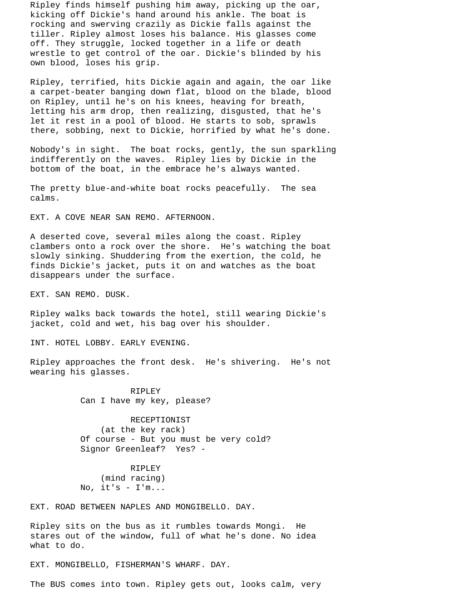Ripley finds himself pushing him away, picking up the oar, kicking off Dickie's hand around his ankle. The boat is rocking and swerving crazily as Dickie falls against the tiller. Ripley almost loses his balance. His glasses come off. They struggle, locked together in a life or death wrestle to get control of the oar. Dickie's blinded by his own blood, loses his grip.

 Ripley, terrified, hits Dickie again and again, the oar like a carpet-beater banging down flat, blood on the blade, blood on Ripley, until he's on his knees, heaving for breath, letting his arm drop, then realizing, disgusted, that he's let it rest in a pool of blood. He starts to sob, sprawls there, sobbing, next to Dickie, horrified by what he's done.

 Nobody's in sight. The boat rocks, gently, the sun sparkling indifferently on the waves. Ripley lies by Dickie in the bottom of the boat, in the embrace he's always wanted.

 The pretty blue-and-white boat rocks peacefully. The sea calms.

EXT. A COVE NEAR SAN REMO. AFTERNOON.

 A deserted cove, several miles along the coast. Ripley clambers onto a rock over the shore. He's watching the boat slowly sinking. Shuddering from the exertion, the cold, he finds Dickie's jacket, puts it on and watches as the boat disappears under the surface.

EXT. SAN REMO. DUSK.

 Ripley walks back towards the hotel, still wearing Dickie's jacket, cold and wet, his bag over his shoulder.

INT. HOTEL LOBBY. EARLY EVENING.

 Ripley approaches the front desk. He's shivering. He's not wearing his glasses.

> RIPLEY Can I have my key, please?

 RECEPTIONIST (at the key rack) Of course - But you must be very cold? Signor Greenleaf? Yes? -

RIPLEY

 (mind racing) No,  $it's - I'm...$ 

EXT. ROAD BETWEEN NAPLES AND MONGIBELLO. DAY.

 Ripley sits on the bus as it rumbles towards Mongi. He stares out of the window, full of what he's done. No idea what to do.

EXT. MONGIBELLO, FISHERMAN'S WHARF. DAY.

The BUS comes into town. Ripley gets out, looks calm, very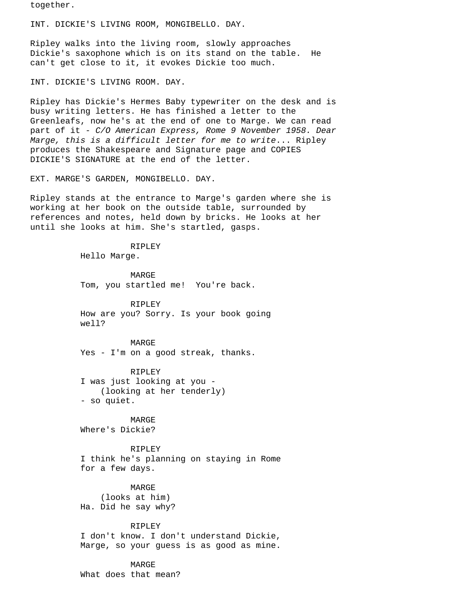together.

INT. DICKIE'S LIVING ROOM, MONGIBELLO. DAY.

 Ripley walks into the living room, slowly approaches Dickie's saxophone which is on its stand on the table. He can't get close to it, it evokes Dickie too much.

INT. DICKIE'S LIVING ROOM. DAY.

 Ripley has Dickie's Hermes Baby typewriter on the desk and is busy writing letters. He has finished a letter to the Greenleafs, now he's at the end of one to Marge. We can read part of it - *C/O American Express, Rome 9 November 1958. Dear Marge, this is a difficult letter for me to write*... Ripley produces the Shakespeare and Signature page and COPIES DICKIE'S SIGNATURE at the end of the letter.

EXT. MARGE'S GARDEN, MONGIBELLO. DAY.

 Ripley stands at the entrance to Marge's garden where she is working at her book on the outside table, surrounded by references and notes, held down by bricks. He looks at her until she looks at him. She's startled, gasps.

> RIPLEY Hello Marge.

 MARGE Tom, you startled me! You're back.

 RIPLEY How are you? Sorry. Is your book going well?

 MARGE Yes - I'm on a good streak, thanks.

RIPLEY I was just looking at you - (looking at her tenderly) - so quiet.

**MARGE** Where's Dickie?

 RIPLEY I think he's planning on staying in Rome for a few days.

 MARGE (looks at him) Ha. Did he say why?

 RIPLEY I don't know. I don't understand Dickie,

Marge, so your guess is as good as mine.

 MARGE What does that mean?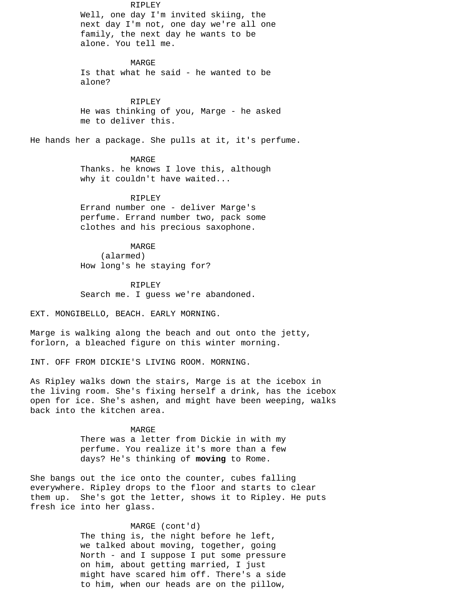RIPLEY

 Well, one day I'm invited skiing, the next day I'm not, one day we're all one family, the next day he wants to be alone. You tell me.

 MARGE Is that what he said - he wanted to be alone?

 RIPLEY He was thinking of you, Marge - he asked me to deliver this.

He hands her a package. She pulls at it, it's perfume.

 MARGE Thanks. he knows I love this, although why it couldn't have waited...

## RIPLEY

 Errand number one - deliver Marge's perfume. Errand number two, pack some clothes and his precious saxophone.

## MARGE

 (alarmed) How long's he staying for?

 RIPLEY Search me. I guess we're abandoned.

EXT. MONGIBELLO, BEACH. EARLY MORNING.

 Marge is walking along the beach and out onto the jetty, forlorn, a bleached figure on this winter morning.

INT. OFF FROM DICKIE'S LIVING ROOM. MORNING.

 As Ripley walks down the stairs, Marge is at the icebox in the living room. She's fixing herself a drink, has the icebox open for ice. She's ashen, and might have been weeping, walks back into the kitchen area.

**MARGE** 

 There was a letter from Dickie in with my perfume. You realize it's more than a few days? He's thinking of **moving** to Rome.

 She bangs out the ice onto the counter, cubes falling everywhere. Ripley drops to the floor and starts to clear them up. She's got the letter, shows it to Ripley. He puts fresh ice into her glass.

MARGE (cont'd)

 The thing is, the night before he left, we talked about moving, together, going North - and I suppose I put some pressure on him, about getting married, I just might have scared him off. There's a side to him, when our heads are on the pillow,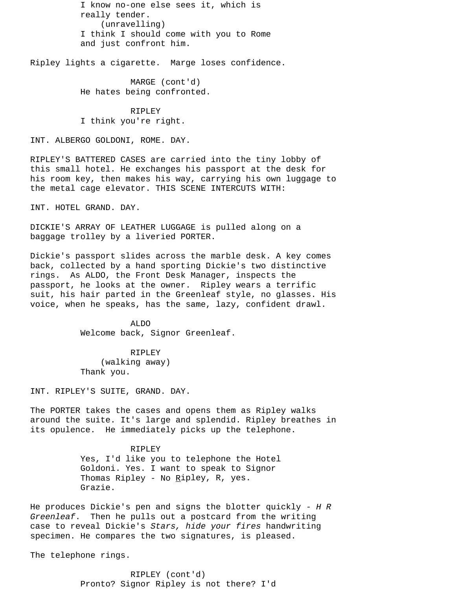I know no-one else sees it, which is really tender. (unravelling) I think I should come with you to Rome and just confront him.

Ripley lights a cigarette. Marge loses confidence.

 MARGE (cont'd) He hates being confronted.

 RIPLEY I think you're right.

INT. ALBERGO GOLDONI, ROME. DAY.

 RIPLEY'S BATTERED CASES are carried into the tiny lobby of this small hotel. He exchanges his passport at the desk for his room key, then makes his way, carrying his own luggage to the metal cage elevator. THIS SCENE INTERCUTS WITH:

INT. HOTEL GRAND. DAY.

 DICKIE'S ARRAY OF LEATHER LUGGAGE is pulled along on a baggage trolley by a liveried PORTER.

 Dickie's passport slides across the marble desk. A key comes back, collected by a hand sporting Dickie's two distinctive rings. As ALDO, the Front Desk Manager, inspects the passport, he looks at the owner. Ripley wears a terrific suit, his hair parted in the Greenleaf style, no glasses. His voice, when he speaks, has the same, lazy, confident drawl.

> ALDO Welcome back, Signor Greenleaf.

 RIPLEY (walking away) Thank you.

INT. RIPLEY'S SUITE, GRAND. DAY.

 The PORTER takes the cases and opens them as Ripley walks around the suite. It's large and splendid. Ripley breathes in its opulence. He immediately picks up the telephone.

RIPLEY

 Yes, I'd like you to telephone the Hotel Goldoni. Yes. I want to speak to Signor Thomas Ripley - No  $Right$ , R, yes. Grazie.

 He produces Dickie's pen and signs the blotter quickly - *H R Greenleaf*. Then he pulls out a postcard from the writing case to reveal Dickie's *Stars, hide your fires* handwriting specimen. He compares the two signatures, is pleased.

The telephone rings.

 RIPLEY (cont'd) Pronto? Signor Ripley is not there? I'd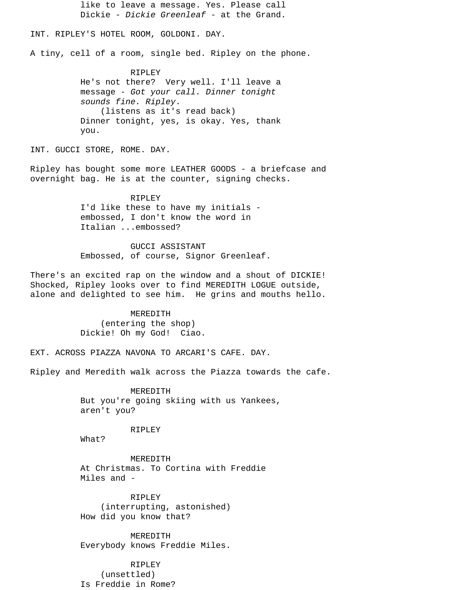like to leave a message. Yes. Please call Dickie - *Dickie Greenleaf* - at the Grand.

INT. RIPLEY'S HOTEL ROOM, GOLDONI. DAY.

A tiny, cell of a room, single bed. Ripley on the phone.

 RIPLEY He's not there? Very well. I'll leave a message - *Got your call. Dinner tonight sounds fine. Ripley*. (listens as it's read back) Dinner tonight, yes, is okay. Yes, thank you.

INT. GUCCI STORE, ROME. DAY.

 Ripley has bought some more LEATHER GOODS - a briefcase and overnight bag. He is at the counter, signing checks.

> RIPLEY I'd like these to have my initials embossed, I don't know the word in Italian ...embossed?

 GUCCI ASSISTANT Embossed, of course, Signor Greenleaf.

 There's an excited rap on the window and a shout of DICKIE! Shocked, Ripley looks over to find MEREDITH LOGUE outside, alone and delighted to see him. He grins and mouths hello.

### MEREDITH

 (entering the shop) Dickie! Oh my God! Ciao.

EXT. ACROSS PIAZZA NAVONA TO ARCARI'S CAFE. DAY.

Ripley and Meredith walk across the Piazza towards the cafe.

 MEREDITH But you're going skiing with us Yankees, aren't you?

# RIPLEY

What?

 MEREDITH At Christmas. To Cortina with Freddie Miles and -

RIPLEY

 (interrupting, astonished) How did you know that?

 MEREDITH Everybody knows Freddie Miles.

 RIPLEY (unsettled) Is Freddie in Rome?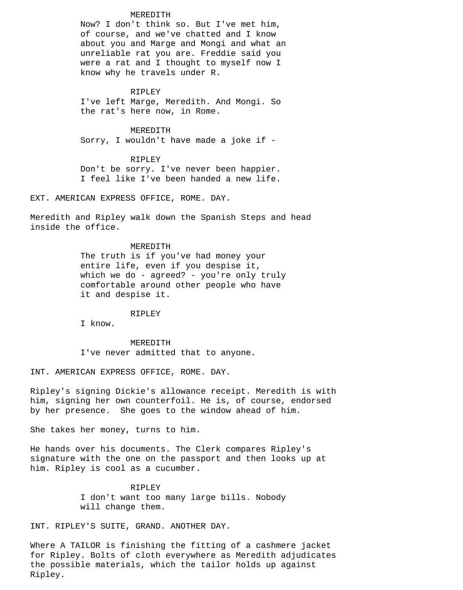## MEREDITH

 Now? I don't think so. But I've met him, of course, and we've chatted and I know about you and Marge and Mongi and what an unreliable rat you are. Freddie said you were a rat and I thought to myself now I know why he travels under R.

#### RIPLEY

 I've left Marge, Meredith. And Mongi. So the rat's here now, in Rome.

### MEREDITH

Sorry, I wouldn't have made a joke if -

#### RIPLEY

 Don't be sorry. I've never been happier. I feel like I've been handed a new life.

EXT. AMERICAN EXPRESS OFFICE, ROME. DAY.

 Meredith and Ripley walk down the Spanish Steps and head inside the office.

#### MEREDITH

 The truth is if you've had money your entire life, even if you despise it, which we do - agreed? - you're only truly comfortable around other people who have it and despise it.

#### RIPLEY

I know.

# MEREDITH I've never admitted that to anyone.

INT. AMERICAN EXPRESS OFFICE, ROME. DAY.

 Ripley's signing Dickie's allowance receipt. Meredith is with him, signing her own counterfoil. He is, of course, endorsed by her presence. She goes to the window ahead of him.

She takes her money, turns to him.

 He hands over his documents. The Clerk compares Ripley's signature with the one on the passport and then looks up at him. Ripley is cool as a cucumber.

RIPLEY

 I don't want too many large bills. Nobody will change them.

INT. RIPLEY'S SUITE, GRAND. ANOTHER DAY.

 Where A TAILOR is finishing the fitting of a cashmere jacket for Ripley. Bolts of cloth everywhere as Meredith adjudicates the possible materials, which the tailor holds up against Ripley.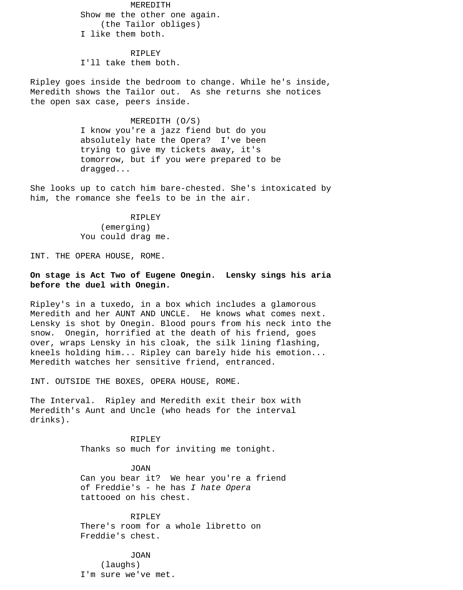MEREDITH Show me the other one again. (the Tailor obliges) I like them both.

 RIPLEY I'll take them both.

 Ripley goes inside the bedroom to change. While he's inside, Meredith shows the Tailor out. As she returns she notices the open sax case, peers inside.

> MEREDITH (O/S) I know you're a jazz fiend but do you absolutely hate the Opera? I've been trying to give my tickets away, it's tomorrow, but if you were prepared to be dragged...

 She looks up to catch him bare-chested. She's intoxicated by him, the romance she feels to be in the air.

#### RIPLEY

 (emerging) You could drag me.

INT. THE OPERA HOUSE, ROME.

# **On stage is Act Two of Eugene Onegin. Lensky sings his aria before the duel with Onegin.**

 Ripley's in a tuxedo, in a box which includes a glamorous Meredith and her AUNT AND UNCLE. He knows what comes next. Lensky is shot by Onegin. Blood pours from his neck into the snow. Onegin, horrified at the death of his friend, goes over, wraps Lensky in his cloak, the silk lining flashing, kneels holding him... Ripley can barely hide his emotion... Meredith watches her sensitive friend, entranced.

INT. OUTSIDE THE BOXES, OPERA HOUSE, ROME.

 The Interval. Ripley and Meredith exit their box with Meredith's Aunt and Uncle (who heads for the interval drinks).

> RIPLEY Thanks so much for inviting me tonight.

 JOAN Can you bear it? We hear you're a friend of Freddie's - he has *I hate Opera* tattooed on his chest.

 RIPLEY There's room for a whole libretto on Freddie's chest.

 JOAN (laughs) I'm sure we've met.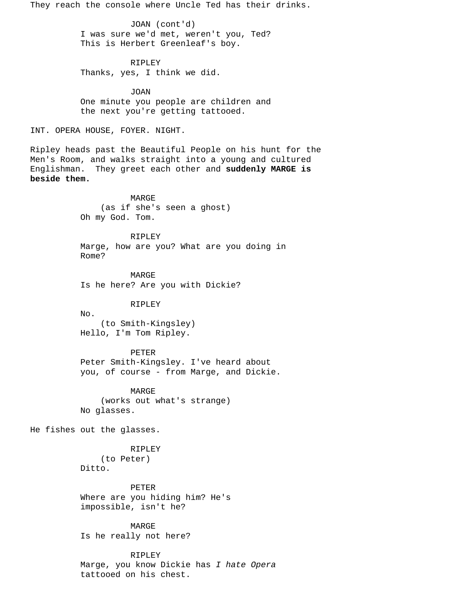They reach the console where Uncle Ted has their drinks.

 JOAN (cont'd) I was sure we'd met, weren't you, Ted? This is Herbert Greenleaf's boy.

 RIPLEY Thanks, yes, I think we did.

 JOAN One minute you people are children and the next you're getting tattooed.

INT. OPERA HOUSE, FOYER. NIGHT.

 Ripley heads past the Beautiful People on his hunt for the Men's Room, and walks straight into a young and cultured Englishman. They greet each other and **suddenly MARGE is beside them.**

> MARGE (as if she's seen a ghost) Oh my God. Tom.

 RIPLEY Marge, how are you? What are you doing in Rome?

 MARGE Is he here? Are you with Dickie?

RIPLEY

 No. (to Smith-Kingsley) Hello, I'm Tom Ripley.

PETER

 Peter Smith-Kingsley. I've heard about you, of course - from Marge, and Dickie.

**MARGE**  (works out what's strange) No glasses.

He fishes out the glasses.

RIPLEY

 (to Peter) Ditto.

 PETER Where are you hiding him? He's impossible, isn't he?

 MARGE Is he really not here?

 RIPLEY Marge, you know Dickie has *I hate Opera* tattooed on his chest.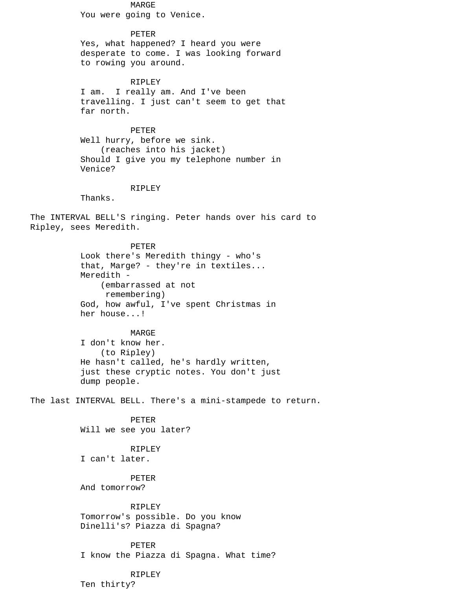MARGE

You were going to Venice.

PETER

 Yes, what happened? I heard you were desperate to come. I was looking forward to rowing you around.

 RIPLEY I am. I really am. And I've been travelling. I just can't seem to get that far north.

PETER

 Well hurry, before we sink. (reaches into his jacket) Should I give you my telephone number in Venice?

RIPLEY

Thanks.

 The INTERVAL BELL'S ringing. Peter hands over his card to Ripley, sees Meredith.

PETER

 Look there's Meredith thingy - who's that, Marge? - they're in textiles... Meredith - (embarrassed at not remembering) God, how awful, I've spent Christmas in her house...!

MARGE

 I don't know her. (to Ripley) He hasn't called, he's hardly written, just these cryptic notes. You don't just dump people.

The last INTERVAL BELL. There's a mini-stampede to return.

 PETER Will we see you later?

 RIPLEY I can't later.

 PETER And tomorrow?

 RIPLEY Tomorrow's possible. Do you know Dinelli's? Piazza di Spagna?

 PETER I know the Piazza di Spagna. What time?

RIPLEY

Ten thirty?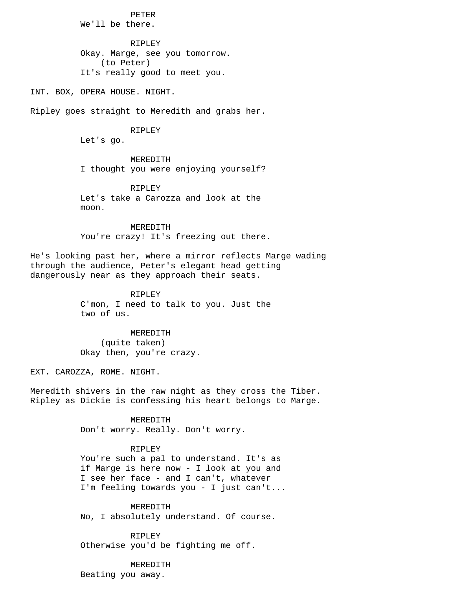PETER We'll be there.

 RIPLEY Okay. Marge, see you tomorrow. (to Peter) It's really good to meet you.

INT. BOX, OPERA HOUSE. NIGHT.

Ripley goes straight to Meredith and grabs her.

## RIPLEY

Let's go.

 MEREDITH I thought you were enjoying yourself?

 RIPLEY Let's take a Carozza and look at the moon.

 MEREDITH You're crazy! It's freezing out there.

 He's looking past her, where a mirror reflects Marge wading through the audience, Peter's elegant head getting dangerously near as they approach their seats.

> RIPLEY C'mon, I need to talk to you. Just the two of us.

 MEREDITH (quite taken) Okay then, you're crazy.

EXT. CAROZZA, ROME. NIGHT.

 Meredith shivers in the raw night as they cross the Tiber. Ripley as Dickie is confessing his heart belongs to Marge.

> MEREDITH Don't worry. Really. Don't worry.

## RIPLEY

 You're such a pal to understand. It's as if Marge is here now - I look at you and I see her face - and I can't, whatever I'm feeling towards you - I just can't...

 MEREDITH No, I absolutely understand. Of course.

 RIPLEY Otherwise you'd be fighting me off.

 MEREDITH Beating you away.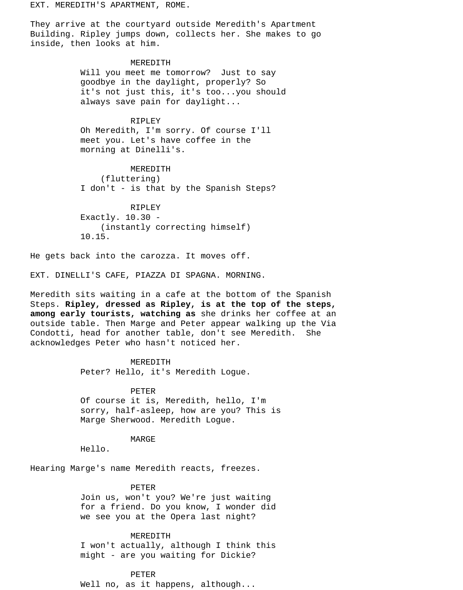EXT. MEREDITH'S APARTMENT, ROME.

 They arrive at the courtyard outside Meredith's Apartment Building. Ripley jumps down, collects her. She makes to go inside, then looks at him.

#### MEREDITH

Will you meet me tomorrow? Just to say goodbye in the daylight, properly? So it's not just this, it's too...you should always save pain for daylight...

## RIPLEY

 Oh Meredith, I'm sorry. Of course I'll meet you. Let's have coffee in the morning at Dinelli's.

### MEREDITH

 (fluttering) I don't - is that by the Spanish Steps?

 RIPLEY Exactly.  $10.30 -$  (instantly correcting himself) 10.15.

He gets back into the carozza. It moves off.

EXT. DINELLI'S CAFE, PIAZZA DI SPAGNA. MORNING.

 Meredith sits waiting in a cafe at the bottom of the Spanish Steps. **Ripley, dressed as Ripley, is at the top of the steps, among early tourists, watching as** she drinks her coffee at an outside table. Then Marge and Peter appear walking up the Via Condotti, head for another table, don't see Meredith. She acknowledges Peter who hasn't noticed her.

#### MEREDITH

Peter? Hello, it's Meredith Logue.

#### PETER

 Of course it is, Meredith, hello, I'm sorry, half-asleep, how are you? This is Marge Sherwood. Meredith Logue.

#### MARGE

Hello.

Hearing Marge's name Meredith reacts, freezes.

## PETER

 Join us, won't you? We're just waiting for a friend. Do you know, I wonder did we see you at the Opera last night?

## MEREDITH

 I won't actually, although I think this might - are you waiting for Dickie?

## PETER

Well no, as it happens, although...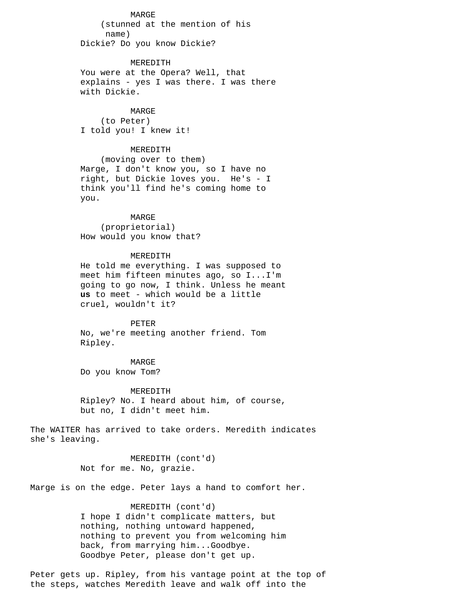# MARGE

 (stunned at the mention of his name) Dickie? Do you know Dickie?

#### MEREDITH

 You were at the Opera? Well, that explains - yes I was there. I was there with Dickie.

### MARGE

 (to Peter) I told you! I knew it!

## MEREDITH

 (moving over to them) Marge, I don't know you, so I have no right, but Dickie loves you. He's - I think you'll find he's coming home to you.

### MARGE

 (proprietorial) How would you know that?

## MEREDITH

 He told me everything. I was supposed to meet him fifteen minutes ago, so I...I'm going to go now, I think. Unless he meant **us** to meet - which would be a little cruel, wouldn't it?

### PETER

 No, we're meeting another friend. Tom Ripley.

**MARGE** Do you know Tom?

 MEREDITH Ripley? No. I heard about him, of course, but no, I didn't meet him.

 The WAITER has arrived to take orders. Meredith indicates she's leaving.

> MEREDITH (cont'd) Not for me. No, grazie.

Marge is on the edge. Peter lays a hand to comfort her.

 MEREDITH (cont'd) I hope I didn't complicate matters, but nothing, nothing untoward happened, nothing to prevent you from welcoming him back, from marrying him...Goodbye. Goodbye Peter, please don't get up.

 Peter gets up. Ripley, from his vantage point at the top of the steps, watches Meredith leave and walk off into the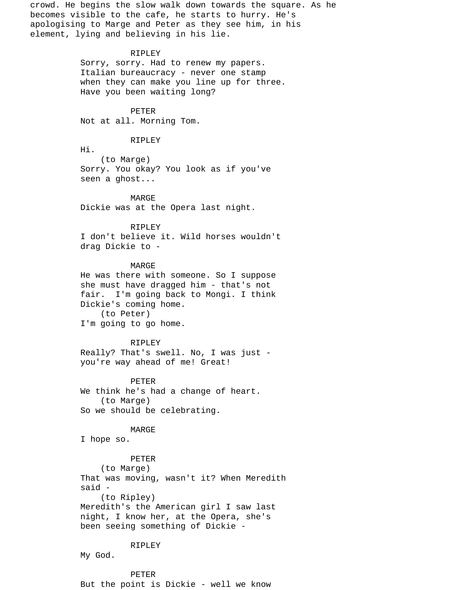crowd. He begins the slow walk down towards the square. As he becomes visible to the cafe, he starts to hurry. He's apologising to Marge and Peter as they see him, in his element, lying and believing in his lie.

## RIPLEY

 Sorry, sorry. Had to renew my papers. Italian bureaucracy - never one stamp when they can make you line up for three. Have you been waiting long?

 PETER Not at all. Morning Tom.

## RIPLEY

Hi.

 (to Marge) Sorry. You okay? You look as if you've seen a ghost...

 MARGE Dickie was at the Opera last night.

## RIPLEY

 I don't believe it. Wild horses wouldn't drag Dickie to -

#### MARGE

 He was there with someone. So I suppose she must have dragged him - that's not fair. I'm going back to Mongi. I think Dickie's coming home. (to Peter) I'm going to go home.

### RIPLEY

 Really? That's swell. No, I was just you're way ahead of me! Great!

## PETER

 We think he's had a change of heart. (to Marge) So we should be celebrating.

### **MARGE**

I hope so.

## PETER

 (to Marge) That was moving, wasn't it? When Meredith said - (to Ripley) Meredith's the American girl I saw last night, I know her, at the Opera, she's been seeing something of Dickie -

# RIPLEY

My God.

### PETER

But the point is Dickie - well we know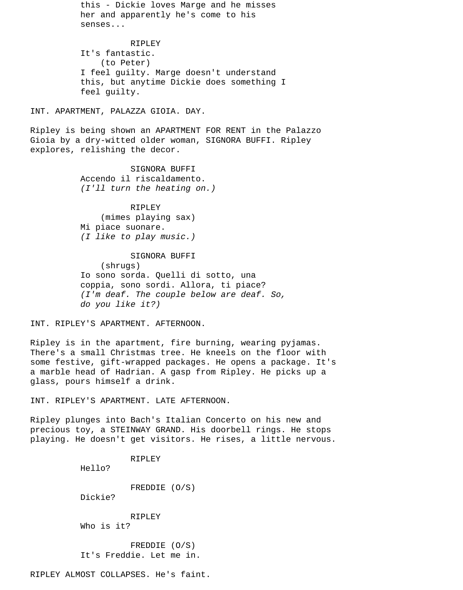this - Dickie loves Marge and he misses her and apparently he's come to his senses...

 RIPLEY It's fantastic. (to Peter) I feel guilty. Marge doesn't understand this, but anytime Dickie does something I feel guilty.

INT. APARTMENT, PALAZZA GIOIA. DAY.

 Ripley is being shown an APARTMENT FOR RENT in the Palazzo Gioia by a dry-witted older woman, SIGNORA BUFFI. Ripley explores, relishing the decor.

> SIGNORA BUFFI Accendo il riscaldamento. *(I'll turn the heating on.)*

 RIPLEY (mimes playing sax) Mi piace suonare. *(I like to play music.)*

 SIGNORA BUFFI (shrugs) Io sono sorda. Quelli di sotto, una coppia, sono sordi. Allora, ti piace? *(I'm deaf. The couple below are deaf. So, do you like it?)*

INT. RIPLEY'S APARTMENT. AFTERNOON.

 Ripley is in the apartment, fire burning, wearing pyjamas. There's a small Christmas tree. He kneels on the floor with some festive, gift-wrapped packages. He opens a package. It's a marble head of Hadrian. A gasp from Ripley. He picks up a glass, pours himself a drink.

INT. RIPLEY'S APARTMENT. LATE AFTERNOON.

 Ripley plunges into Bach's Italian Concerto on his new and precious toy, a STEINWAY GRAND. His doorbell rings. He stops playing. He doesn't get visitors. He rises, a little nervous.

RIPLEY

Hello?

FREDDIE (O/S)

Dickie?

 RIPLEY Who is it?

 FREDDIE (O/S) It's Freddie. Let me in.

RIPLEY ALMOST COLLAPSES. He's faint.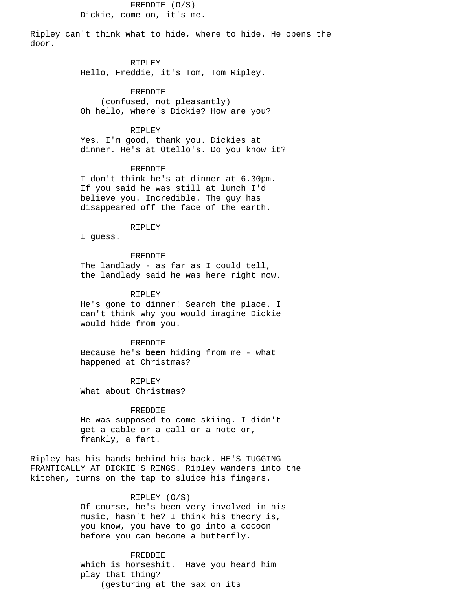## FREDDIE (O/S) Dickie, come on, it's me.

 Ripley can't think what to hide, where to hide. He opens the door.

> RIPLEY Hello, Freddie, it's Tom, Tom Ripley.

 FREDDIE (confused, not pleasantly) Oh hello, where's Dickie? How are you?

## RIPLEY

 Yes, I'm good, thank you. Dickies at dinner. He's at Otello's. Do you know it?

### FREDDIE

 I don't think he's at dinner at 6.30pm. If you said he was still at lunch I'd believe you. Incredible. The guy has disappeared off the face of the earth.

## RIPLEY

I guess.

## FREDDIE

 The landlady - as far as I could tell, the landlady said he was here right now.

#### RIPLEY

 He's gone to dinner! Search the place. I can't think why you would imagine Dickie would hide from you.

#### FREDDIE

 Because he's **been** hiding from me - what happened at Christmas?

 RIPLEY What about Christmas?

### FREDDIE

 He was supposed to come skiing. I didn't get a cable or a call or a note or, frankly, a fart.

 Ripley has his hands behind his back. HE'S TUGGING FRANTICALLY AT DICKIE'S RINGS. Ripley wanders into the kitchen, turns on the tap to sluice his fingers.

### RIPLEY (O/S)

 Of course, he's been very involved in his music, hasn't he? I think his theory is, you know, you have to go into a cocoon before you can become a butterfly.

# FREDDIE

 Which is horseshit. Have you heard him play that thing? (gesturing at the sax on its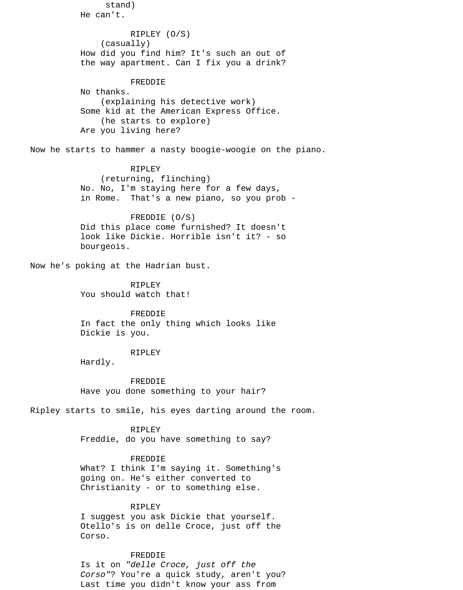stand) He can't. RIPLEY (O/S) (casually) How did you find him? It's such an out of the way apartment. Can I fix you a drink? FREDDIE No thanks. (explaining his detective work) Some kid at the American Express Office. (he starts to explore) Are you living here? Now he starts to hammer a nasty boogie-woogie on the piano. RIPLEY (returning, flinching) No. No, I'm staying here for a few days, in Rome. That's a new piano, so you prob - FREDDIE (O/S) Did this place come furnished? It doesn't look like Dickie. Horrible isn't it? - so bourgeois. Now he's poking at the Hadrian bust. RIPLEY You should watch that! FREDDIE In fact the only thing which looks like Dickie is you. RIPLEY Hardly. FREDDIE Have you done something to your hair? Ripley starts to smile, his eyes darting around the room. RIPLEY Freddie, do you have something to say? FREDDIE What? I think I'm saying it. Something's going on. He's either converted to Christianity - or to something else.

### RIPLEY

 I suggest you ask Dickie that yourself. Otello's is on delle Croce, just off the Corso.

## FREDDIE

 Is it on *"delle Croce, just off the Corso"*? You're a quick study, aren't you? Last time you didn't know your ass from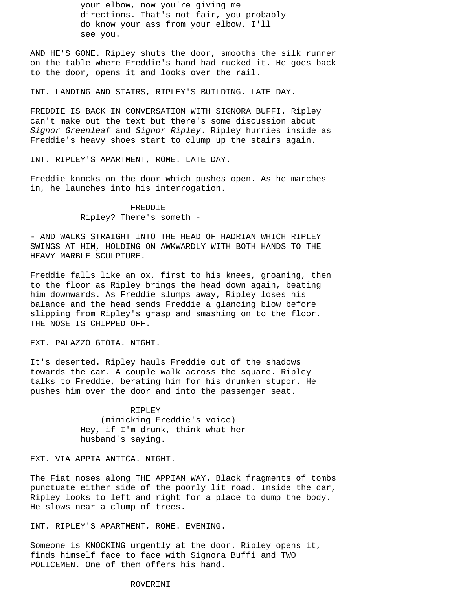your elbow, now you're giving me directions. That's not fair, you probably do know your ass from your elbow. I'll see you.

 AND HE'S GONE. Ripley shuts the door, smooths the silk runner on the table where Freddie's hand had rucked it. He goes back to the door, opens it and looks over the rail.

INT. LANDING AND STAIRS, RIPLEY'S BUILDING. LATE DAY.

 FREDDIE IS BACK IN CONVERSATION WITH SIGNORA BUFFI. Ripley can't make out the text but there's some discussion about *Signor Greenleaf* and *Signor Ripley*. Ripley hurries inside as Freddie's heavy shoes start to clump up the stairs again.

INT. RIPLEY'S APARTMENT, ROME. LATE DAY.

 Freddie knocks on the door which pushes open. As he marches in, he launches into his interrogation.

> FREDDIE Ripley? There's someth -

 - AND WALKS STRAIGHT INTO THE HEAD OF HADRIAN WHICH RIPLEY SWINGS AT HIM, HOLDING ON AWKWARDLY WITH BOTH HANDS TO THE HEAVY MARBLE SCULPTURE.

 Freddie falls like an ox, first to his knees, groaning, then to the floor as Ripley brings the head down again, beating him downwards. As Freddie slumps away, Ripley loses his balance and the head sends Freddie a glancing blow before slipping from Ripley's grasp and smashing on to the floor. THE NOSE IS CHIPPED OFF.

EXT. PALAZZO GIOIA. NIGHT.

 It's deserted. Ripley hauls Freddie out of the shadows towards the car. A couple walk across the square. Ripley talks to Freddie, berating him for his drunken stupor. He pushes him over the door and into the passenger seat.

> RIPLEY (mimicking Freddie's voice) Hey, if I'm drunk, think what her husband's saying.

EXT. VIA APPIA ANTICA. NIGHT.

 The Fiat noses along THE APPIAN WAY. Black fragments of tombs punctuate either side of the poorly lit road. Inside the car, Ripley looks to left and right for a place to dump the body. He slows near a clump of trees.

INT. RIPLEY'S APARTMENT, ROME. EVENING.

 Someone is KNOCKING urgently at the door. Ripley opens it, finds himself face to face with Signora Buffi and TWO POLICEMEN. One of them offers his hand.

## ROVER INT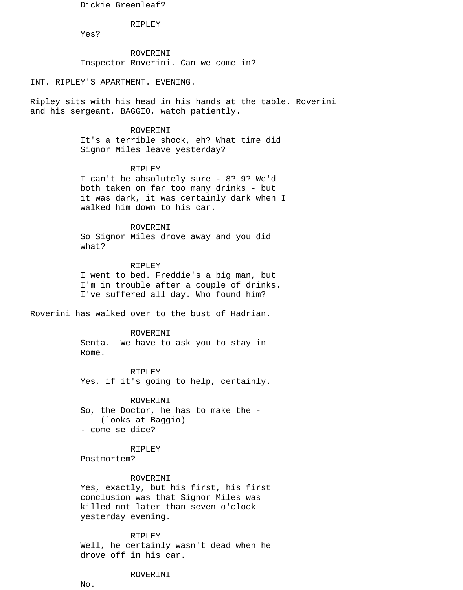Dickie Greenleaf?

# RIPLEY

Yes?

 ROVERINI Inspector Roverini. Can we come in?

## INT. RIPLEY'S APARTMENT. EVENING.

 Ripley sits with his head in his hands at the table. Roverini and his sergeant, BAGGIO, watch patiently.

## ROVERINI

 It's a terrible shock, eh? What time did Signor Miles leave yesterday?

### RIPLEY

 I can't be absolutely sure - 8? 9? We'd both taken on far too many drinks - but it was dark, it was certainly dark when I walked him down to his car.

## ROVERINI

 So Signor Miles drove away and you did what?

#### RIPLEY

 I went to bed. Freddie's a big man, but I'm in trouble after a couple of drinks. I've suffered all day. Who found him?

Roverini has walked over to the bust of Hadrian.

 ROVERINI Senta. We have to ask you to stay in Rome.

RIPLEY

Yes, if it's going to help, certainly.

 ROVERINI So, the Doctor, he has to make the - (looks at Baggio) - come se dice?

# RIPLEY

Postmortem?

### ROVERINI

 Yes, exactly, but his first, his first conclusion was that Signor Miles was killed not later than seven o'clock yesterday evening.

## RIPLEY

 Well, he certainly wasn't dead when he drove off in his car.

## ROVERINI

No.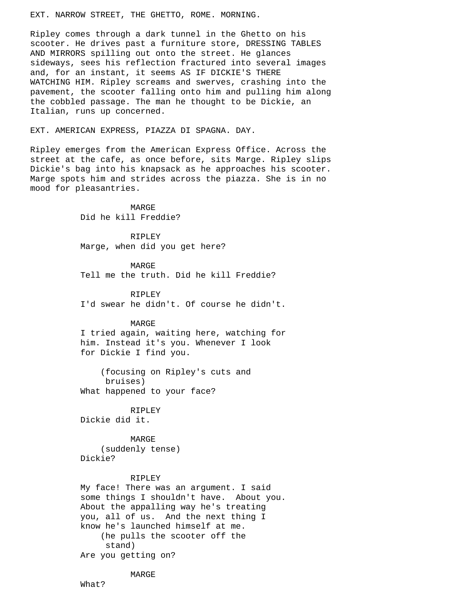EXT. NARROW STREET, THE GHETTO, ROME. MORNING.

 Ripley comes through a dark tunnel in the Ghetto on his scooter. He drives past a furniture store, DRESSING TABLES AND MIRRORS spilling out onto the street. He glances sideways, sees his reflection fractured into several images and, for an instant, it seems AS IF DICKIE'S THERE WATCHING HIM. Ripley screams and swerves, crashing into the pavement, the scooter falling onto him and pulling him along the cobbled passage. The man he thought to be Dickie, an Italian, runs up concerned.

EXT. AMERICAN EXPRESS, PIAZZA DI SPAGNA. DAY.

 Ripley emerges from the American Express Office. Across the street at the cafe, as once before, sits Marge. Ripley slips Dickie's bag into his knapsack as he approaches his scooter. Marge spots him and strides across the piazza. She is in no mood for pleasantries.

> MARGE Did he kill Freddie?

 RIPLEY Marge, when did you get here?

MARGE

Tell me the truth. Did he kill Freddie?

 RIPLEY I'd swear he didn't. Of course he didn't.

MARGE

 I tried again, waiting here, watching for him. Instead it's you. Whenever I look for Dickie I find you.

 (focusing on Ripley's cuts and bruises) What happened to your face?

RIPLEY

Dickie did it.

MARGE

 (suddenly tense) Dickie?

## RIPLEY

 My face! There was an argument. I said some things I shouldn't have. About you. About the appalling way he's treating you, all of us. And the next thing I know he's launched himself at me. (he pulls the scooter off the stand) Are you getting on?

MARGE

What?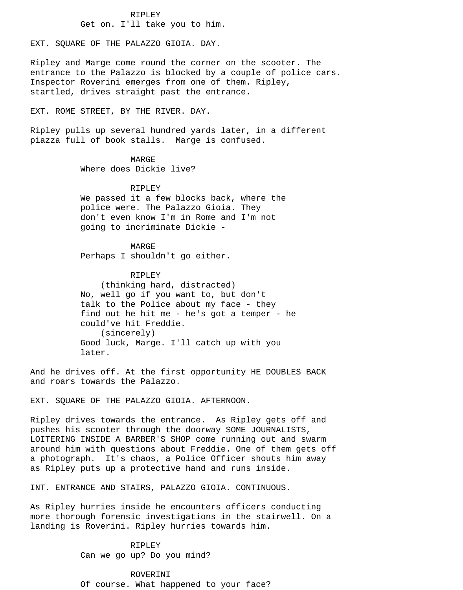## RIPLEY Get on. I'll take you to him.

EXT. SQUARE OF THE PALAZZO GIOIA. DAY.

 Ripley and Marge come round the corner on the scooter. The entrance to the Palazzo is blocked by a couple of police cars. Inspector Roverini emerges from one of them. Ripley, startled, drives straight past the entrance.

EXT. ROME STREET, BY THE RIVER. DAY.

 Ripley pulls up several hundred yards later, in a different piazza full of book stalls. Marge is confused.

> MARGE Where does Dickie live?

> > RIPLEY

 We passed it a few blocks back, where the police were. The Palazzo Gioia. They don't even know I'm in Rome and I'm not going to incriminate Dickie -

**MARGE** Perhaps I shouldn't go either.

RIPLEY

 (thinking hard, distracted) No, well go if you want to, but don't talk to the Police about my face - they find out he hit me - he's got a temper - he could've hit Freddie. (sincerely) Good luck, Marge. I'll catch up with you later.

 And he drives off. At the first opportunity HE DOUBLES BACK and roars towards the Palazzo.

EXT. SQUARE OF THE PALAZZO GIOIA. AFTERNOON.

 Ripley drives towards the entrance. As Ripley gets off and pushes his scooter through the doorway SOME JOURNALISTS, LOITERING INSIDE A BARBER'S SHOP come running out and swarm around him with questions about Freddie. One of them gets off a photograph. It's chaos, a Police Officer shouts him away as Ripley puts up a protective hand and runs inside.

INT. ENTRANCE AND STAIRS, PALAZZO GIOIA. CONTINUOUS.

 As Ripley hurries inside he encounters officers conducting more thorough forensic investigations in the stairwell. On a landing is Roverini. Ripley hurries towards him.

> RIPLEY Can we go up? Do you mind?

 ROVERINI Of course. What happened to your face?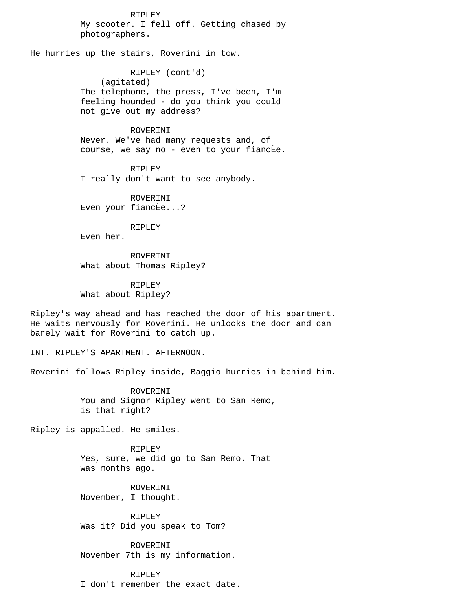RIPLEY My scooter. I fell off. Getting chased by photographers. He hurries up the stairs, Roverini in tow. RIPLEY (cont'd) (agitated) The telephone, the press, I've been, I'm feeling hounded - do you think you could not give out my address? ROVERINI Never. We've had many requests and, of course, we say no - even to your fiancÈe. RIPLEY I really don't want to see anybody. ROVERINI Even your fiancÈe...? RIPLEY Even her. ROVERINI What about Thomas Ripley? RIPLEY What about Ripley? Ripley's way ahead and has reached the door of his apartment. He waits nervously for Roverini. He unlocks the door and can barely wait for Roverini to catch up. INT. RIPLEY'S APARTMENT. AFTERNOON. Roverini follows Ripley inside, Baggio hurries in behind him. ROVERINI You and Signor Ripley went to San Remo, is that right? Ripley is appalled. He smiles. RIPLEY

 Yes, sure, we did go to San Remo. That was months ago.

 ROVERINI November, I thought.

 RIPLEY Was it? Did you speak to Tom?

 ROVERINI November 7th is my information.

 RIPLEY I don't remember the exact date.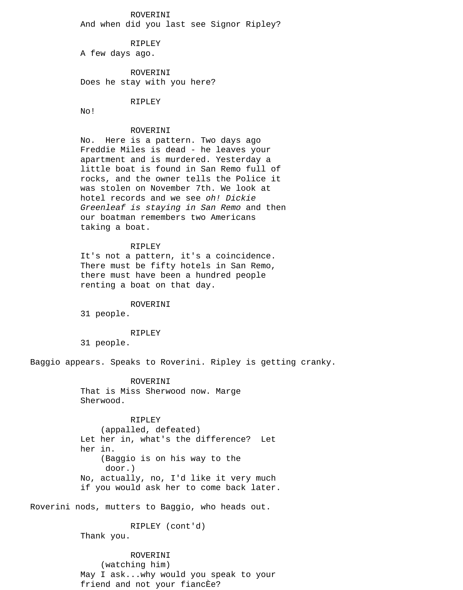ROVERINI And when did you last see Signor Ripley?

RIPLEY

A few days ago.

 ROVERINI Does he stay with you here?

## RIPLEY

No!

# ROVERINI

 No. Here is a pattern. Two days ago Freddie Miles is dead - he leaves your apartment and is murdered. Yesterday a little boat is found in San Remo full of rocks, and the owner tells the Police it was stolen on November 7th. We look at hotel records and we see *oh! Dickie Greenleaf is staying in San Remo* and then our boatman remembers two Americans taking a boat.

#### RIPLEY

 It's not a pattern, it's a coincidence. There must be fifty hotels in San Remo, there must have been a hundred people renting a boat on that day.

### ROVERINI

31 people.

### RIPLEY

31 people.

Baggio appears. Speaks to Roverini. Ripley is getting cranky.

 ROVERINI That is Miss Sherwood now. Marge Sherwood.

#### RIPLEY

 (appalled, defeated) Let her in, what's the difference? Let her in. (Baggio is on his way to the door.) No, actually, no, I'd like it very much if you would ask her to come back later.

Roverini nods, mutters to Baggio, who heads out.

 RIPLEY (cont'd) Thank you.

# ROVERINI

 (watching him) May I ask...why would you speak to your friend and not your fiancÈe?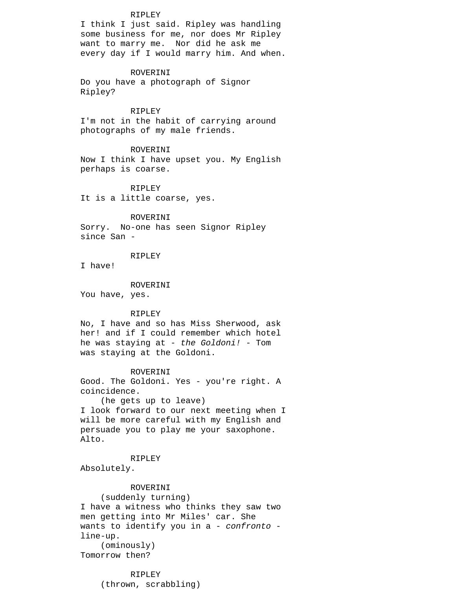## RIPLEY

 I think I just said. Ripley was handling some business for me, nor does Mr Ripley want to marry me. Nor did he ask me every day if I would marry him. And when.

 ROVERINI Do you have a photograph of Signor Ripley?

 RIPLEY I'm not in the habit of carrying around photographs of my male friends.

 ROVERINI Now I think I have upset you. My English perhaps is coarse.

 RIPLEY It is a little coarse, yes.

 ROVERINI Sorry. No-one has seen Signor Ripley since San -

RIPLEY

I have!

 ROVERINI You have, yes.

#### RIPLEY

 No, I have and so has Miss Sherwood, ask her! and if I could remember which hotel he was staying at - *the Goldoni!* - Tom was staying at the Goldoni.

### ROVERINI

 Good. The Goldoni. Yes - you're right. A coincidence. (he gets up to leave)

 I look forward to our next meeting when I will be more careful with my English and persuade you to play me your saxophone. Alto.

# RIPLEY

Absolutely.

 ROVERINI (suddenly turning) I have a witness who thinks they saw two men getting into Mr Miles' car. She wants to identify you in a - *confronto* line-up. (ominously) Tomorrow then?

> RIPLEY (thrown, scrabbling)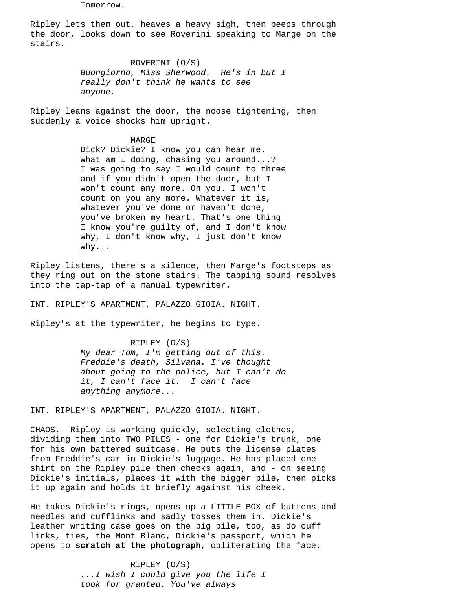Tomorrow.

 Ripley lets them out, heaves a heavy sigh, then peeps through the door, looks down to see Roverini speaking to Marge on the stairs.

> ROVERINI (O/S) *Buongiorno, Miss Sherwood. He's in but I really don't think he wants to see anyone.*

 Ripley leans against the door, the noose tightening, then suddenly a voice shocks him upright.

## MARGE

 Dick? Dickie? I know you can hear me. What am I doing, chasing you around...? I was going to say I would count to three and if you didn't open the door, but I won't count any more. On you. I won't count on you any more. Whatever it is, whatever you've done or haven't done, you've broken my heart. That's one thing I know you're guilty of, and I don't know why, I don't know why, I just don't know why...

 Ripley listens, there's a silence, then Marge's footsteps as they ring out on the stone stairs. The tapping sound resolves into the tap-tap of a manual typewriter.

INT. RIPLEY'S APARTMENT, PALAZZO GIOIA. NIGHT.

Ripley's at the typewriter, he begins to type.

 RIPLEY (O/S) *My dear Tom, I'm getting out of this. Freddie's death, Silvana. I've thought about going to the police, but I can't do it, I can't face it. I can't face anything anymore...*

INT. RIPLEY'S APARTMENT, PALAZZO GIOIA. NIGHT.

 CHAOS. Ripley is working quickly, selecting clothes, dividing them into TWO PILES - one for Dickie's trunk, one for his own battered suitcase. He puts the license plates from Freddie's car in Dickie's luggage. He has placed one shirt on the Ripley pile then checks again, and - on seeing Dickie's initials, places it with the bigger pile, then picks it up again and holds it briefly against his cheek.

 He takes Dickie's rings, opens up a LITTLE BOX of buttons and needles and cufflinks and sadly tosses them in. Dickie's leather writing case goes on the big pile, too, as do cuff links, ties, the Mont Blanc, Dickie's passport, which he opens to **scratch at the photograph**, obliterating the face.

> RIPLEY (O/S) *...I wish I could give you the life I took for granted. You've always*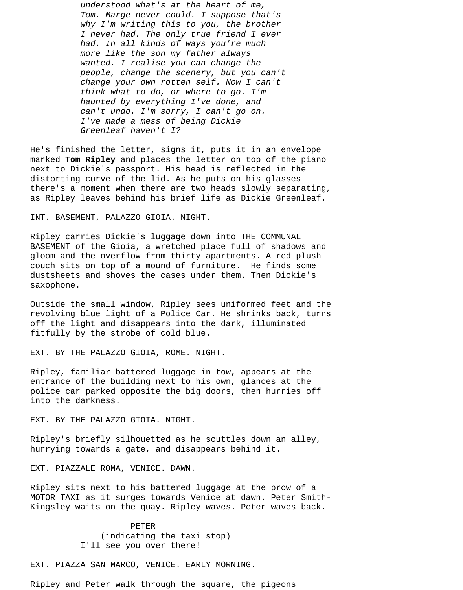*understood what's at the heart of me, Tom. Marge never could. I suppose that's why I'm writing this to you, the brother I never had. The only true friend I ever had. In all kinds of ways you're much more like the son my father always wanted. I realise you can change the people, change the scenery, but you can't change your own rotten self. Now I can't think what to do, or where to go. I'm haunted by everything I've done, and can't undo. I'm sorry, I can't go on. I've made a mess of being Dickie Greenleaf haven't I?*

 He's finished the letter, signs it, puts it in an envelope marked **Tom Ripley** and places the letter on top of the piano next to Dickie's passport. His head is reflected in the distorting curve of the lid. As he puts on his glasses there's a moment when there are two heads slowly separating, as Ripley leaves behind his brief life as Dickie Greenleaf.

### INT. BASEMENT, PALAZZO GIOIA. NIGHT.

 Ripley carries Dickie's luggage down into THE COMMUNAL BASEMENT of the Gioia, a wretched place full of shadows and gloom and the overflow from thirty apartments. A red plush couch sits on top of a mound of furniture. He finds some dustsheets and shoves the cases under them. Then Dickie's saxophone.

 Outside the small window, Ripley sees uniformed feet and the revolving blue light of a Police Car. He shrinks back, turns off the light and disappears into the dark, illuminated fitfully by the strobe of cold blue.

EXT. BY THE PALAZZO GIOIA, ROME. NIGHT.

 Ripley, familiar battered luggage in tow, appears at the entrance of the building next to his own, glances at the police car parked opposite the big doors, then hurries off into the darkness.

EXT. BY THE PALAZZO GIOIA. NIGHT.

 Ripley's briefly silhouetted as he scuttles down an alley, hurrying towards a gate, and disappears behind it.

EXT. PIAZZALE ROMA, VENICE. DAWN.

 Ripley sits next to his battered luggage at the prow of a MOTOR TAXI as it surges towards Venice at dawn. Peter Smith- Kingsley waits on the quay. Ripley waves. Peter waves back.

> PETER (indicating the taxi stop) I'll see you over there!

EXT. PIAZZA SAN MARCO, VENICE. EARLY MORNING.

Ripley and Peter walk through the square, the pigeons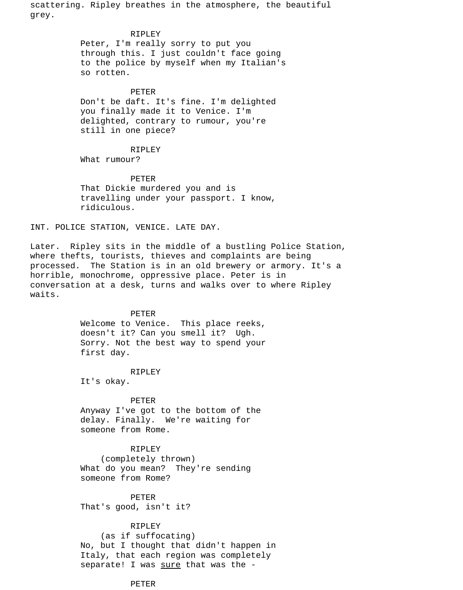scattering. Ripley breathes in the atmosphere, the beautiful grey.

RIPLEY

 Peter, I'm really sorry to put you through this. I just couldn't face going to the police by myself when my Italian's so rotten.

PETER

 Don't be daft. It's fine. I'm delighted you finally made it to Venice. I'm delighted, contrary to rumour, you're still in one piece?

RIPLEY What rumour?

PETER

 That Dickie murdered you and is travelling under your passport. I know, ridiculous.

INT. POLICE STATION, VENICE. LATE DAY.

 Later. Ripley sits in the middle of a bustling Police Station, where thefts, tourists, thieves and complaints are being processed. The Station is in an old brewery or armory. It's a horrible, monochrome, oppressive place. Peter is in conversation at a desk, turns and walks over to where Ripley waits.

PETER

 Welcome to Venice. This place reeks, doesn't it? Can you smell it? Ugh. Sorry. Not the best way to spend your first day.

RIPLEY

It's okay.

PETER

 Anyway I've got to the bottom of the delay. Finally. We're waiting for someone from Rome.

RIPLEY

 (completely thrown) What do you mean? They're sending someone from Rome?

PETER

That's good, isn't it?

RIPLEY

 (as if suffocating) No, but I thought that didn't happen in Italy, that each region was completely separate! I was sure that was the -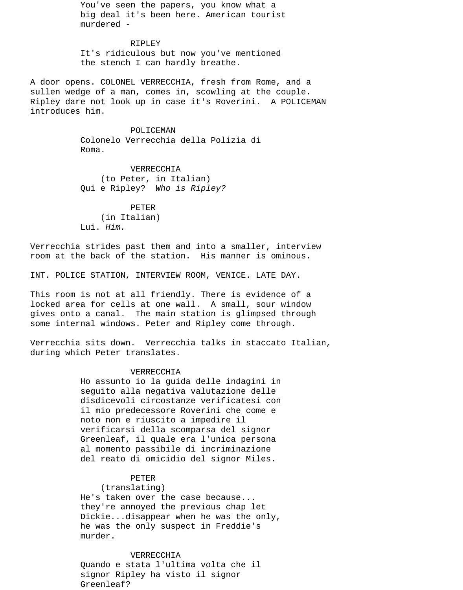You've seen the papers, you know what a big deal it's been here. American tourist murdered -

 RIPLEY It's ridiculous but now you've mentioned the stench I can hardly breathe.

 A door opens. COLONEL VERRECCHIA, fresh from Rome, and a sullen wedge of a man, comes in, scowling at the couple. Ripley dare not look up in case it's Roverini. A POLICEMAN introduces him.

> POLICEMAN Colonelo Verrecchia della Polizia di Roma.

 VERRECCHIA (to Peter, in Italian) Qui e Ripley? *Who is Ripley?*

 PETER (in Italian) Lui. *Him.*

 Verrecchia strides past them and into a smaller, interview room at the back of the station. His manner is ominous.

INT. POLICE STATION, INTERVIEW ROOM, VENICE. LATE DAY.

 This room is not at all friendly. There is evidence of a locked area for cells at one wall. A small, sour window gives onto a canal. The main station is glimpsed through some internal windows. Peter and Ripley come through.

 Verrecchia sits down. Verrecchia talks in staccato Italian, during which Peter translates.

### VERRECCHIA

 Ho assunto io la guida delle indagini in seguito alla negativa valutazione delle disdicevoli circostanze verificatesi con il mio predecessore Roverini che come e noto non e riuscito a impedire il verificarsi della scomparsa del signor Greenleaf, il quale era l'unica persona al momento passibile di incriminazione del reato di omicidio del signor Miles.

# PETER

## (translating)

 He's taken over the case because... they're annoyed the previous chap let Dickie...disappear when he was the only, he was the only suspect in Freddie's murder.

 VERRECCHIA Quando e stata l'ultima volta che il signor Ripley ha visto il signor Greenleaf?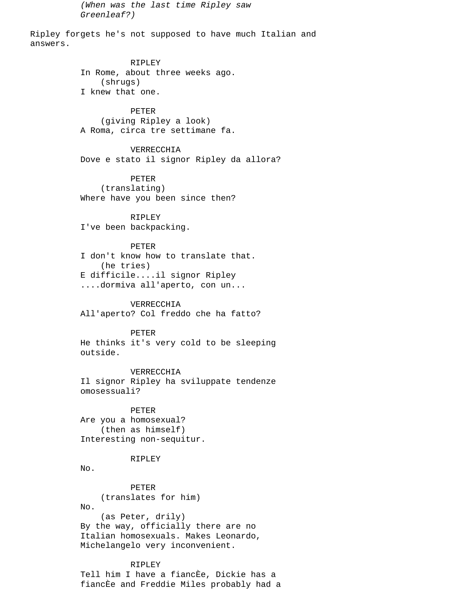*(When was the last time Ripley saw Greenleaf?)*

 Ripley forgets he's not supposed to have much Italian and answers.

> RIPLEY In Rome, about three weeks ago. (shrugs) I knew that one.

> PETER (giving Ripley a look) A Roma, circa tre settimane fa.

 VERRECCHIA Dove e stato il signor Ripley da allora?

 PETER (translating) Where have you been since then?

 RIPLEY I've been backpacking.

 PETER I don't know how to translate that. (he tries) E difficile....il signor Ripley ....dormiva all'aperto, con un...

 VERRECCHIA All'aperto? Col freddo che ha fatto?

 PETER He thinks it's very cold to be sleeping outside.

 VERRECCHIA Il signor Ripley ha sviluppate tendenze omosessuali?

 PETER Are you a homosexual? (then as himself) Interesting non-sequitur.

RIPLEY

No.

 PETER (translates for him) No. (as Peter, drily) By the way, officially there are no Italian homosexuals. Makes Leonardo, Michelangelo very inconvenient.

RIPLEY

 Tell him I have a fiancÈe, Dickie has a fiancÈe and Freddie Miles probably had a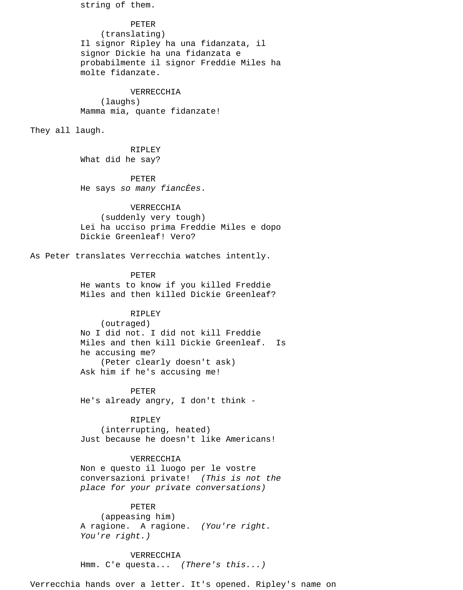string of them.

### PETER

 (translating) Il signor Ripley ha una fidanzata, il signor Dickie ha una fidanzata e probabilmente il signor Freddie Miles ha molte fidanzate.

 VERRECCHIA (laughs) Mamma mia, quante fidanzate!

They all laugh.

RIPLEY What did he say?

 PETER He says *so many fiancÈes*.

## VERRECCHIA

 (suddenly very tough) Lei ha ucciso prima Freddie Miles e dopo Dickie Greenleaf! Vero?

As Peter translates Verrecchia watches intently.

## PETER

 He wants to know if you killed Freddie Miles and then killed Dickie Greenleaf?

#### RIPLEY

 (outraged) No I did not. I did not kill Freddie Miles and then kill Dickie Greenleaf. Is he accusing me? (Peter clearly doesn't ask) Ask him if he's accusing me!

PETER

He's already angry, I don't think -

## RIPLEY

 (interrupting, heated) Just because he doesn't like Americans!

## VERRECCHIA

 Non e questo il luogo per le vostre conversazioni private! *(This is not the place for your private conversations)*

## PETER

 (appeasing him) A ragione. A ragione. *(You're right. You're right.)*

# VERRECCHIA Hmm. C'e questa... *(There's this...)*

Verrecchia hands over a letter. It's opened. Ripley's name on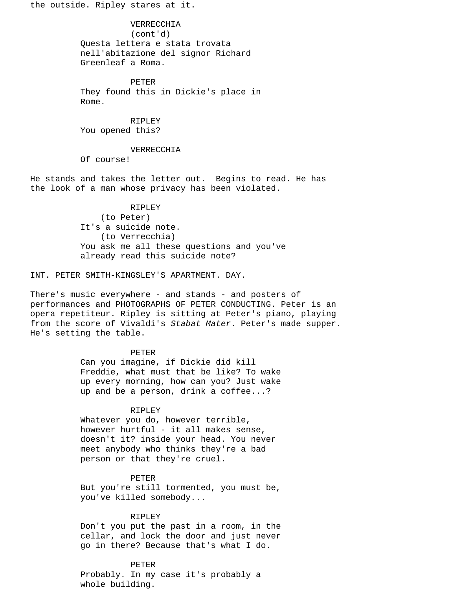the outside. Ripley stares at it.

 VERRECCHIA (cont'd) Questa lettera e stata trovata nell'abitazione del signor Richard Greenleaf a Roma.

 PETER They found this in Dickie's place in Rome.

# RIPLEY You opened this?

VERRECCHIA

Of course!

 He stands and takes the letter out. Begins to read. He has the look of a man whose privacy has been violated.

### RIPLEY

 (to Peter) It's a suicide note. (to Verrecchia) You ask me all these questions and you've already read this suicide note?

INT. PETER SMITH-KINGSLEY'S APARTMENT. DAY.

 There's music everywhere - and stands - and posters of performances and PHOTOGRAPHS OF PETER CONDUCTING. Peter is an opera repetiteur. Ripley is sitting at Peter's piano, playing from the score of Vivaldi's *Stabat Mater*. Peter's made supper. He's setting the table.

## PETER

 Can you imagine, if Dickie did kill Freddie, what must that be like? To wake up every morning, how can you? Just wake up and be a person, drink a coffee...?

## RIPLEY

 Whatever you do, however terrible, however hurtful - it all makes sense, doesn't it? inside your head. You never meet anybody who thinks they're a bad person or that they're cruel.

## PETER

 But you're still tormented, you must be, you've killed somebody...

## RIPLEY

 Don't you put the past in a room, in the cellar, and lock the door and just never go in there? Because that's what I do.

# PETER

 Probably. In my case it's probably a whole building.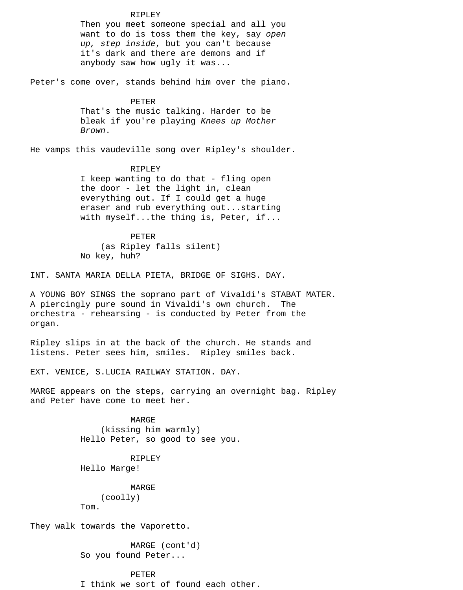### RIPLEY

 Then you meet someone special and all you want to do is toss them the key, say *open up, step inside*, but you can't because it's dark and there are demons and if anybody saw how ugly it was...

Peter's come over, stands behind him over the piano.

PETER

 That's the music talking. Harder to be bleak if you're playing *Knees up Mother Brown*.

He vamps this vaudeville song over Ripley's shoulder.

#### RIPLEY

 I keep wanting to do that - fling open the door - let the light in, clean everything out. If I could get a huge eraser and rub everything out...starting with myself...the thing is, Peter, if...

PETER

 (as Ripley falls silent) No key, huh?

INT. SANTA MARIA DELLA PIETA, BRIDGE OF SIGHS. DAY.

 A YOUNG BOY SINGS the soprano part of Vivaldi's STABAT MATER. A piercingly pure sound in Vivaldi's own church. The orchestra - rehearsing - is conducted by Peter from the organ.

 Ripley slips in at the back of the church. He stands and listens. Peter sees him, smiles. Ripley smiles back.

EXT. VENICE, S.LUCIA RAILWAY STATION. DAY.

 MARGE appears on the steps, carrying an overnight bag. Ripley and Peter have come to meet her.

> **MARGE**  (kissing him warmly) Hello Peter, so good to see you.

> > RIPLEY

Hello Marge!

 MARGE (coolly)

Tom.

They walk towards the Vaporetto.

 MARGE (cont'd) So you found Peter...

PETER

I think we sort of found each other.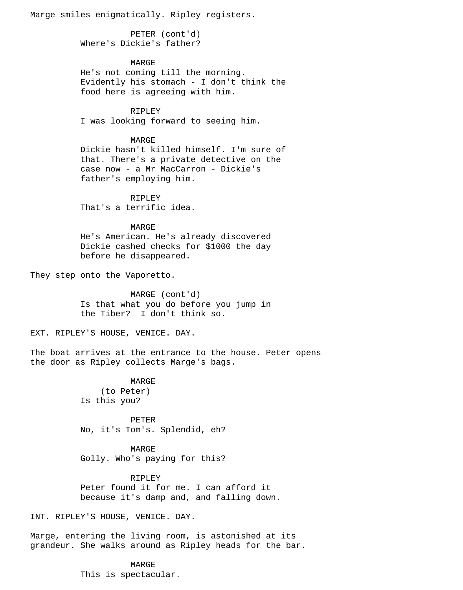Marge smiles enigmatically. Ripley registers.

 PETER (cont'd) Where's Dickie's father?

MARGE

 He's not coming till the morning. Evidently his stomach - I don't think the food here is agreeing with him.

 RIPLEY I was looking forward to seeing him.

## MARGE

 Dickie hasn't killed himself. I'm sure of that. There's a private detective on the case now - a Mr MacCarron - Dickie's father's employing him.

 RIPLEY That's a terrific idea.

MARGE

 He's American. He's already discovered Dickie cashed checks for \$1000 the day before he disappeared.

They step onto the Vaporetto.

 MARGE (cont'd) Is that what you do before you jump in the Tiber? I don't think so.

EXT. RIPLEY'S HOUSE, VENICE. DAY.

 The boat arrives at the entrance to the house. Peter opens the door as Ripley collects Marge's bags.

> **MARGE**  (to Peter) Is this you?

 PETER No, it's Tom's. Splendid, eh?

 MARGE Golly. Who's paying for this?

 RIPLEY Peter found it for me. I can afford it because it's damp and, and falling down.

INT. RIPLEY'S HOUSE, VENICE. DAY.

 Marge, entering the living room, is astonished at its grandeur. She walks around as Ripley heads for the bar.

> MARGE This is spectacular.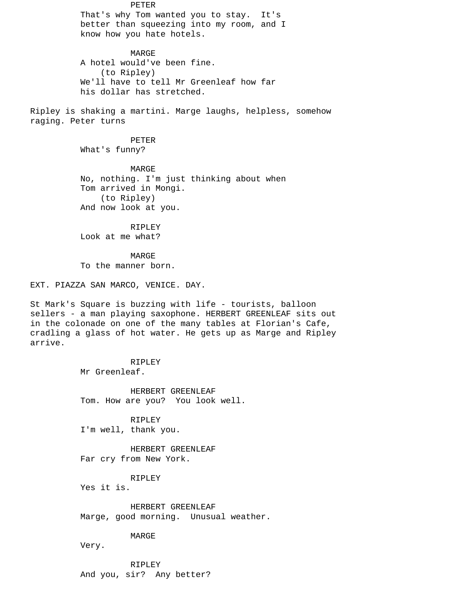PETER

 That's why Tom wanted you to stay. It's better than squeezing into my room, and I know how you hate hotels.

MARGE

 A hotel would've been fine. (to Ripley) We'll have to tell Mr Greenleaf how far his dollar has stretched.

 Ripley is shaking a martini. Marge laughs, helpless, somehow raging. Peter turns

PETER

What's funny?

MARGE

 No, nothing. I'm just thinking about when Tom arrived in Mongi. (to Ripley) And now look at you.

RIPLEY

Look at me what?

 MARGE To the manner born.

EXT. PIAZZA SAN MARCO, VENICE. DAY.

 St Mark's Square is buzzing with life - tourists, balloon sellers - a man playing saxophone. HERBERT GREENLEAF sits out in the colonade on one of the many tables at Florian's Cafe, cradling a glass of hot water. He gets up as Marge and Ripley arrive.

RIPLEY

Mr Greenleaf.

 HERBERT GREENLEAF Tom. How are you? You look well.

 RIPLEY I'm well, thank you.

 HERBERT GREENLEAF Far cry from New York.

RIPLEY

Yes it is.

 HERBERT GREENLEAF Marge, good morning. Unusual weather.

MARGE

Very.

 RIPLEY And you, sir? Any better?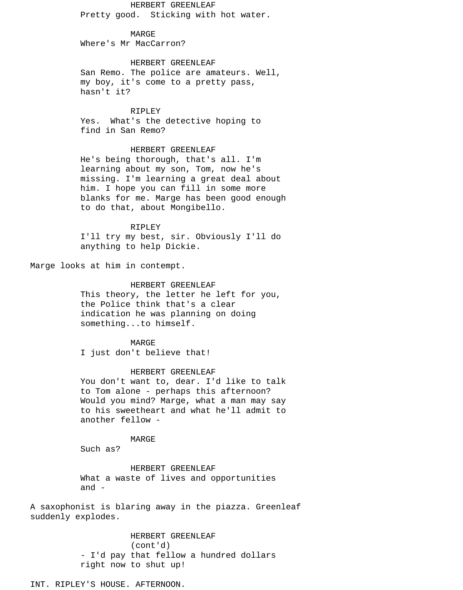HERBERT GREENLEAF Pretty good. Sticking with hot water.

 MARGE Where's Mr MacCarron?

 HERBERT GREENLEAF San Remo. The police are amateurs. Well, my boy, it's come to a pretty pass, hasn't it?

#### RIPLEY

 Yes. What's the detective hoping to find in San Remo?

# HERBERT GREENLEAF

 He's being thorough, that's all. I'm learning about my son, Tom, now he's missing. I'm learning a great deal about him. I hope you can fill in some more blanks for me. Marge has been good enough to do that, about Mongibello.

## RIPLEY

 I'll try my best, sir. Obviously I'll do anything to help Dickie.

Marge looks at him in contempt.

#### HERBERT GREENLEAF

 This theory, the letter he left for you, the Police think that's a clear indication he was planning on doing something...to himself.

MARGE

I just don't believe that!

## HERBERT GREENLEAF

 You don't want to, dear. I'd like to talk to Tom alone - perhaps this afternoon? Would you mind? Marge, what a man may say to his sweetheart and what he'll admit to another fellow -

MARGE

Such as?

# HERBERT GREENLEAF What a waste of lives and opportunities and -

 A saxophonist is blaring away in the piazza. Greenleaf suddenly explodes.

> HERBERT GREENLEAF (cont'd) - I'd pay that fellow a hundred dollars right now to shut up!

INT. RIPLEY'S HOUSE. AFTERNOON.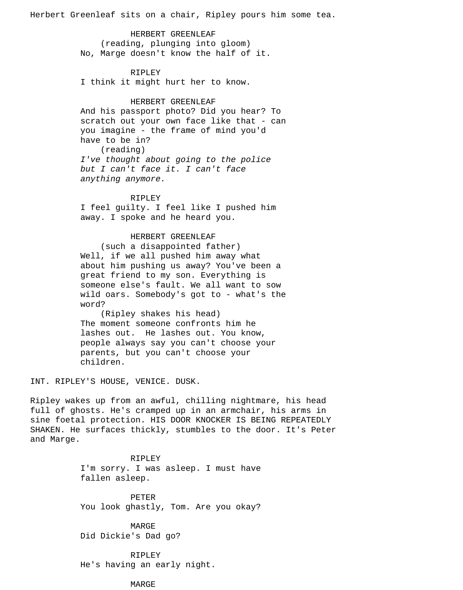Herbert Greenleaf sits on a chair, Ripley pours him some tea.

 HERBERT GREENLEAF (reading, plunging into gloom) No, Marge doesn't know the half of it.

 RIPLEY I think it might hurt her to know.

## HERBERT GREENLEAF

 And his passport photo? Did you hear? To scratch out your own face like that - can you imagine - the frame of mind you'd have to be in? (reading) *I've thought about going to the police but I can't face it. I can't face anything anymore.*

#### RIPLEY

 I feel guilty. I feel like I pushed him away. I spoke and he heard you.

### HERBERT GREENLEAF

 (such a disappointed father) Well, if we all pushed him away what about him pushing us away? You've been a great friend to my son. Everything is someone else's fault. We all want to sow wild oars. Somebody's got to - what's the word?

 (Ripley shakes his head) The moment someone confronts him he lashes out. He lashes out. You know, people always say you can't choose your parents, but you can't choose your children.

INT. RIPLEY'S HOUSE, VENICE. DUSK.

 Ripley wakes up from an awful, chilling nightmare, his head full of ghosts. He's cramped up in an armchair, his arms in sine foetal protection. HIS DOOR KNOCKER IS BEING REPEATEDLY SHAKEN. He surfaces thickly, stumbles to the door. It's Peter and Marge.

> RIPLEY I'm sorry. I was asleep. I must have fallen asleep.

> PETER You look ghastly, Tom. Are you okay?

 MARGE Did Dickie's Dad go?

 RIPLEY He's having an early night.

## MARGE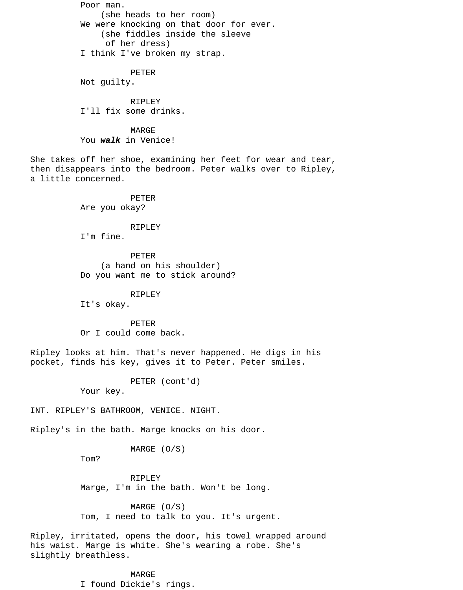Poor man. (she heads to her room) We were knocking on that door for ever. (she fiddles inside the sleeve of her dress) I think I've broken my strap.

 PETER Not guilty.

 RIPLEY I'll fix some drinks.

 MARGE You *walk* in Venice!

 She takes off her shoe, examining her feet for wear and tear, then disappears into the bedroom. Peter walks over to Ripley, a little concerned.

> PETER Are you okay?

> > RIPLEY

I'm fine.

 PETER (a hand on his shoulder) Do you want me to stick around?

 RIPLEY It's okay.

 PETER Or I could come back.

 Ripley looks at him. That's never happened. He digs in his pocket, finds his key, gives it to Peter. Peter smiles.

PETER (cont'd)

Your key.

INT. RIPLEY'S BATHROOM, VENICE. NIGHT.

Ripley's in the bath. Marge knocks on his door.

MARGE (O/S)

Tom?

 RIPLEY Marge, I'm in the bath. Won't be long.

 MARGE (O/S) Tom, I need to talk to you. It's urgent.

 Ripley, irritated, opens the door, his towel wrapped around his waist. Marge is white. She's wearing a robe. She's slightly breathless.

> MARGE I found Dickie's rings.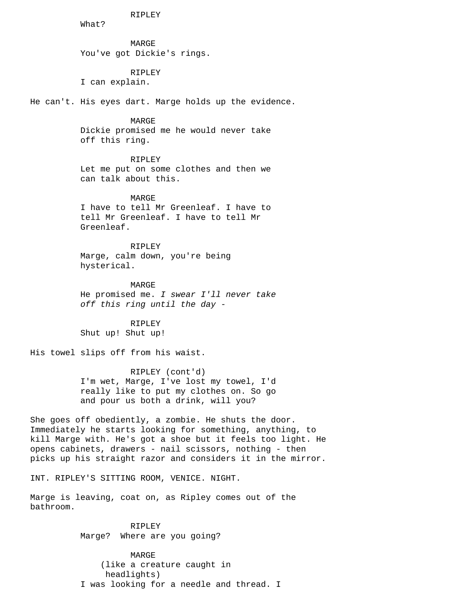### RIPLEY

What?

 MARGE You've got Dickie's rings.

 RIPLEY I can explain.

He can't. His eyes dart. Marge holds up the evidence.

 MARGE Dickie promised me he would never take off this ring.

 RIPLEY Let me put on some clothes and then we can talk about this.

**MARGE**  I have to tell Mr Greenleaf. I have to tell Mr Greenleaf. I have to tell Mr Greenleaf.

 RIPLEY Marge, calm down, you're being hysterical.

 MARGE He promised me. *I swear I'll never take off this ring until the day -*

 RIPLEY Shut up! Shut up!

His towel slips off from his waist.

 RIPLEY (cont'd) I'm wet, Marge, I've lost my towel, I'd really like to put my clothes on. So go and pour us both a drink, will you?

 She goes off obediently, a zombie. He shuts the door. Immediately he starts looking for something, anything, to kill Marge with. He's got a shoe but it feels too light. He opens cabinets, drawers - nail scissors, nothing - then picks up his straight razor and considers it in the mirror.

INT. RIPLEY'S SITTING ROOM, VENICE. NIGHT.

 Marge is leaving, coat on, as Ripley comes out of the bathroom.

> RIPLEY Marge? Where are you going?

 MARGE (like a creature caught in headlights) I was looking for a needle and thread. I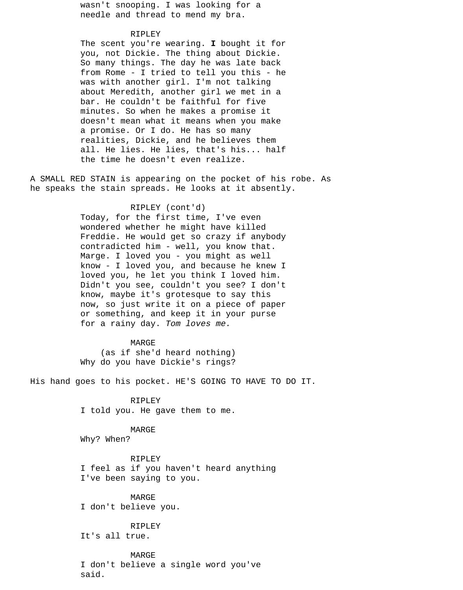wasn't snooping. I was looking for a needle and thread to mend my bra.

### RIPLEY

 The scent you're wearing. **I** bought it for you, not Dickie. The thing about Dickie. So many things. The day he was late back from Rome - I tried to tell you this - he was with another girl. I'm not talking about Meredith, another girl we met in a bar. He couldn't be faithful for five minutes. So when he makes a promise it doesn't mean what it means when you make a promise. Or I do. He has so many realities, Dickie, and he believes them all. He lies. He lies, that's his... half the time he doesn't even realize.

 A SMALL RED STAIN is appearing on the pocket of his robe. As he speaks the stain spreads. He looks at it absently.

> RIPLEY (cont'd) Today, for the first time, I've even wondered whether he might have killed Freddie. He would get so crazy if anybody contradicted him - well, you know that. Marge. I loved you - you might as well know - I loved you, and because he knew I loved you, he let you think I loved him. Didn't you see, couldn't you see? I don't know, maybe it's grotesque to say this now, so just write it on a piece of paper or something, and keep it in your purse for a rainy day. *Tom loves me.*

#### MARGE

 (as if she'd heard nothing) Why do you have Dickie's rings?

His hand goes to his pocket. HE'S GOING TO HAVE TO DO IT.

 RIPLEY I told you. He gave them to me.

### **MARGE**

Why? When?

#### RIPLEY

 I feel as if you haven't heard anything I've been saying to you.

## MARGE

I don't believe you.

### RIPLEY

It's all true.

# **MARGE**

 I don't believe a single word you've said.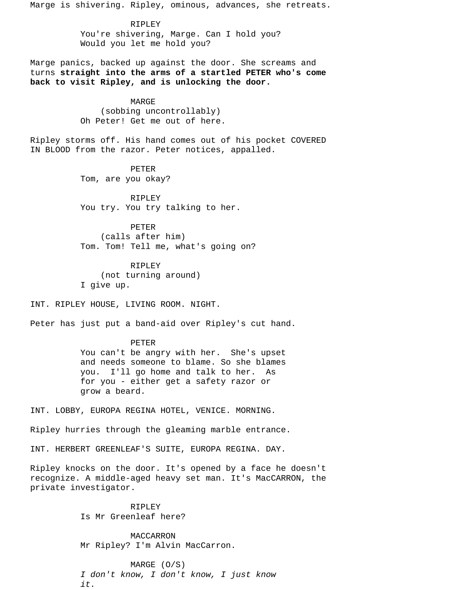Marge is shivering. Ripley, ominous, advances, she retreats.

 RIPLEY You're shivering, Marge. Can I hold you? Would you let me hold you?

 Marge panics, backed up against the door. She screams and turns **straight into the arms of a startled PETER who's come back to visit Ripley, and is unlocking the door.**

> MARGE (sobbing uncontrollably) Oh Peter! Get me out of here.

 Ripley storms off. His hand comes out of his pocket COVERED IN BLOOD from the razor. Peter notices, appalled.

> PETER Tom, are you okay?

 RIPLEY You try. You try talking to her.

 PETER (calls after him) Tom. Tom! Tell me, what's going on?

 RIPLEY (not turning around) I give up.

INT. RIPLEY HOUSE, LIVING ROOM. NIGHT.

Peter has just put a band-aid over Ripley's cut hand.

 PETER You can't be angry with her. She's upset and needs someone to blame. So she blames you. I'll go home and talk to her. As for you - either get a safety razor or grow a beard.

INT. LOBBY, EUROPA REGINA HOTEL, VENICE. MORNING.

Ripley hurries through the gleaming marble entrance.

INT. HERBERT GREENLEAF'S SUITE, EUROPA REGINA. DAY.

 Ripley knocks on the door. It's opened by a face he doesn't recognize. A middle-aged heavy set man. It's MacCARRON, the private investigator.

> RIPLEY Is Mr Greenleaf here?

 MACCARRON Mr Ripley? I'm Alvin MacCarron.

 MARGE (O/S) *I don't know, I don't know, I just know it.*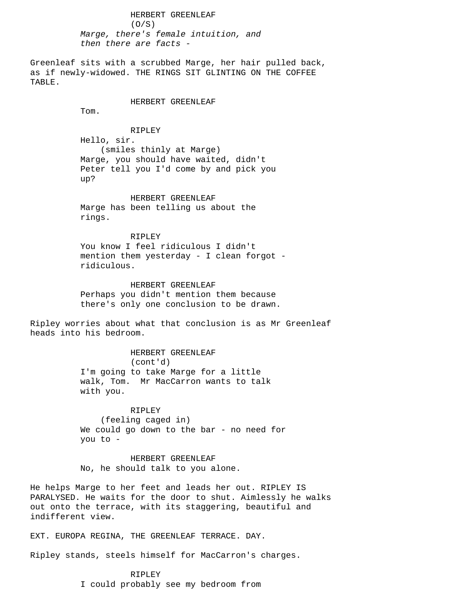HERBERT GREENLEAF  $(O/S)$  *Marge, there's female intuition, and then there are facts -*

 Greenleaf sits with a scrubbed Marge, her hair pulled back, as if newly-widowed. THE RINGS SIT GLINTING ON THE COFFEE TABLE.

### HERBERT GREENLEAF

Tom.

 RIPLEY Hello, sir. (smiles thinly at Marge) Marge, you should have waited, didn't Peter tell you I'd come by and pick you up?

 HERBERT GREENLEAF Marge has been telling us about the rings.

 RIPLEY You know I feel ridiculous I didn't mention them yesterday - I clean forgot ridiculous.

 HERBERT GREENLEAF Perhaps you didn't mention them because there's only one conclusion to be drawn.

 Ripley worries about what that conclusion is as Mr Greenleaf heads into his bedroom.

HERBERT GREENLEAF

 (cont'd) I'm going to take Marge for a little walk, Tom. Mr MacCarron wants to talk with you.

### RIPLEY

 (feeling caged in) We could go down to the bar - no need for you to -

 HERBERT GREENLEAF No, he should talk to you alone.

 He helps Marge to her feet and leads her out. RIPLEY IS PARALYSED. He waits for the door to shut. Aimlessly he walks out onto the terrace, with its staggering, beautiful and indifferent view.

EXT. EUROPA REGINA, THE GREENLEAF TERRACE. DAY.

Ripley stands, steels himself for MacCarron's charges.

 RIPLEY I could probably see my bedroom from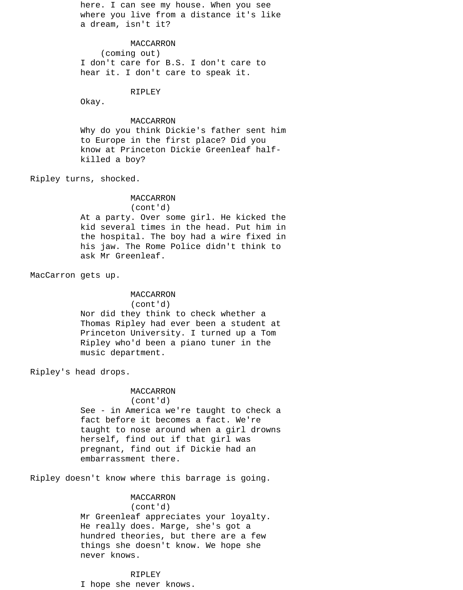here. I can see my house. When you see where you live from a distance it's like a dream, isn't it?

### MACCARRON

 (coming out) I don't care for B.S. I don't care to hear it. I don't care to speak it.

### RIPLEY

Okay.

# MACCARRON

 Why do you think Dickie's father sent him to Europe in the first place? Did you know at Princeton Dickie Greenleaf half killed a boy?

Ripley turns, shocked.

# MACCARRON

### (cont'd)

 At a party. Over some girl. He kicked the kid several times in the head. Put him in the hospital. The boy had a wire fixed in his jaw. The Rome Police didn't think to ask Mr Greenleaf.

MacCarron gets up.

### MACCARRON

#### (cont'd)

 Nor did they think to check whether a Thomas Ripley had ever been a student at Princeton University. I turned up a Tom Ripley who'd been a piano tuner in the music department.

Ripley's head drops.

### MACCARRON

#### (cont'd)

 See - in America we're taught to check a fact before it becomes a fact. We're taught to nose around when a girl drowns herself, find out if that girl was pregnant, find out if Dickie had an embarrassment there.

Ripley doesn't know where this barrage is going.

# MACCARRON

# (cont'd)

 Mr Greenleaf appreciates your loyalty. He really does. Marge, she's got a hundred theories, but there are a few things she doesn't know. We hope she never knows.

### RIPLEY

I hope she never knows.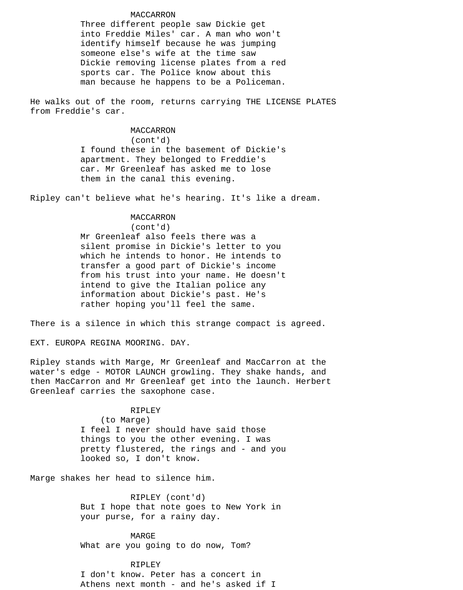### MACCARRON

 Three different people saw Dickie get into Freddie Miles' car. A man who won't identify himself because he was jumping someone else's wife at the time saw Dickie removing license plates from a red sports car. The Police know about this man because he happens to be a Policeman.

 He walks out of the room, returns carrying THE LICENSE PLATES from Freddie's car.

# MACCARRON

(cont'd)

 I found these in the basement of Dickie's apartment. They belonged to Freddie's car. Mr Greenleaf has asked me to lose them in the canal this evening.

Ripley can't believe what he's hearing. It's like a dream.

### MACCARRON

### (cont'd)

 Mr Greenleaf also feels there was a silent promise in Dickie's letter to you which he intends to honor. He intends to transfer a good part of Dickie's income from his trust into your name. He doesn't intend to give the Italian police any information about Dickie's past. He's rather hoping you'll feel the same.

There is a silence in which this strange compact is agreed.

EXT. EUROPA REGINA MOORING. DAY.

 Ripley stands with Marge, Mr Greenleaf and MacCarron at the water's edge - MOTOR LAUNCH growling. They shake hands, and then MacCarron and Mr Greenleaf get into the launch. Herbert Greenleaf carries the saxophone case.

### RIPLEY

 (to Marge) I feel I never should have said those things to you the other evening. I was pretty flustered, the rings and - and you looked so, I don't know.

Marge shakes her head to silence him.

 RIPLEY (cont'd) But I hope that note goes to New York in your purse, for a rainy day.

### MARGE

What are you going to do now, Tom?

 RIPLEY I don't know. Peter has a concert in Athens next month - and he's asked if I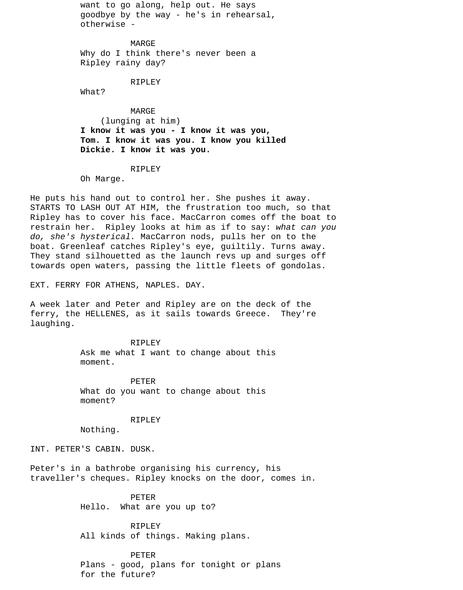want to go along, help out. He says goodbye by the way - he's in rehearsal, otherwise -

**MARGE**  Why do I think there's never been a Ripley rainy day?

### RIPLEY

What?

 MARGE (lunging at him) **I know it was you - I know it was you, Tom. I know it was you. I know you killed Dickie. I know it was you.**

### RIPLEY

Oh Marge.

 He puts his hand out to control her. She pushes it away. STARTS TO LASH OUT AT HIM, the frustration too much, so that Ripley has to cover his face. MacCarron comes off the boat to restrain her. Ripley looks at him as if to say: *what can you do, she's hysterical.* MacCarron nods, pulls her on to the boat. Greenleaf catches Ripley's eye, guiltily. Turns away. They stand silhouetted as the launch revs up and surges off towards open waters, passing the little fleets of gondolas.

EXT. FERRY FOR ATHENS, NAPLES. DAY.

 A week later and Peter and Ripley are on the deck of the ferry, the HELLENES, as it sails towards Greece. They're laughing.

RIPLEY

 Ask me what I want to change about this moment.

PETER

 What do you want to change about this moment?

RIPLEY

Nothing.

INT. PETER'S CABIN. DUSK.

 Peter's in a bathrobe organising his currency, his traveller's cheques. Ripley knocks on the door, comes in.

PETER

Hello. What are you up to?

 RIPLEY All kinds of things. Making plans.

 PETER Plans - good, plans for tonight or plans for the future?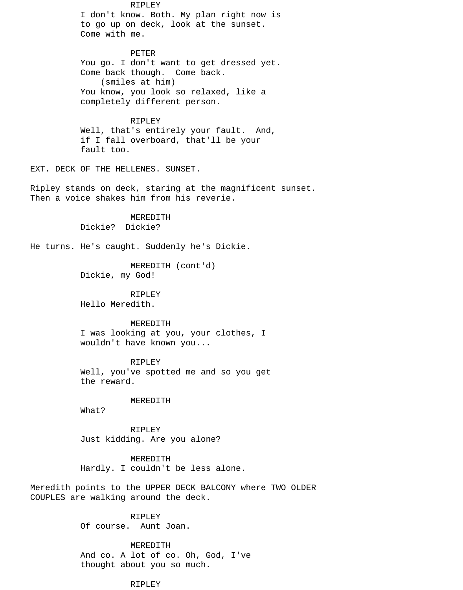RIPLEY

 I don't know. Both. My plan right now is to go up on deck, look at the sunset. Come with me.

PETER

 You go. I don't want to get dressed yet. Come back though. Come back. (smiles at him) You know, you look so relaxed, like a completely different person.

 RIPLEY Well, that's entirely your fault. And, if I fall overboard, that'll be your fault too.

EXT. DECK OF THE HELLENES. SUNSET.

 Ripley stands on deck, staring at the magnificent sunset. Then a voice shakes him from his reverie.

> MEREDITH Dickie? Dickie?

He turns. He's caught. Suddenly he's Dickie.

 MEREDITH (cont'd) Dickie, my God!

 RIPLEY Hello Meredith.

 MEREDITH I was looking at you, your clothes, I wouldn't have known you...

RIPLEY Well, you've spotted me and so you get the reward.

MEREDITH

What?

 RIPLEY Just kidding. Are you alone?

 MEREDITH Hardly. I couldn't be less alone.

 Meredith points to the UPPER DECK BALCONY where TWO OLDER COUPLES are walking around the deck.

> RIPLEY Of course. Aunt Joan.

 MEREDITH And co. A lot of co. Oh, God, I've thought about you so much.

RIPLEY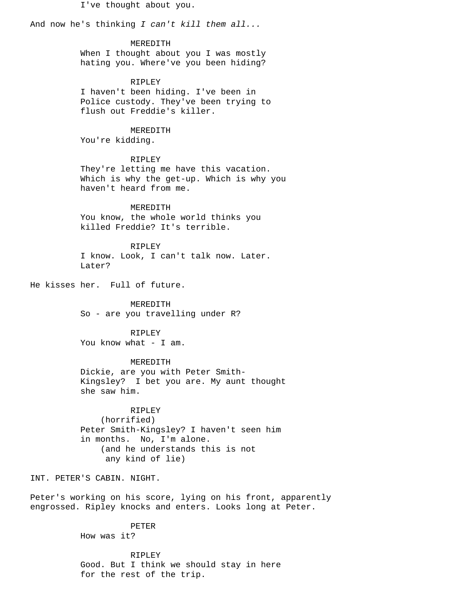I've thought about you.

And now he's thinking *I can't kill them all...*

#### MEREDITH

When I thought about you I was mostly hating you. Where've you been hiding?

### RIPLEY

 I haven't been hiding. I've been in Police custody. They've been trying to flush out Freddie's killer.

# MEREDITH

You're kidding.

### RIPLEY

 They're letting me have this vacation. Which is why the get-up. Which is why you haven't heard from me.

 MEREDITH You know, the whole world thinks you killed Freddie? It's terrible.

RIPLEY I know. Look, I can't talk now. Later. Later?

He kisses her. Full of future.

 MEREDITH So - are you travelling under R?

### RIPLEY

You know what - I am.

MEREDITH

 Dickie, are you with Peter Smith- Kingsley? I bet you are. My aunt thought she saw him.

#### RIPLEY

 (horrified) Peter Smith-Kingsley? I haven't seen him in months. No, I'm alone. (and he understands this is not any kind of lie)

INT. PETER'S CABIN. NIGHT.

 Peter's working on his score, lying on his front, apparently engrossed. Ripley knocks and enters. Looks long at Peter.

#### PETER

How was it?

 RIPLEY Good. But I think we should stay in here for the rest of the trip.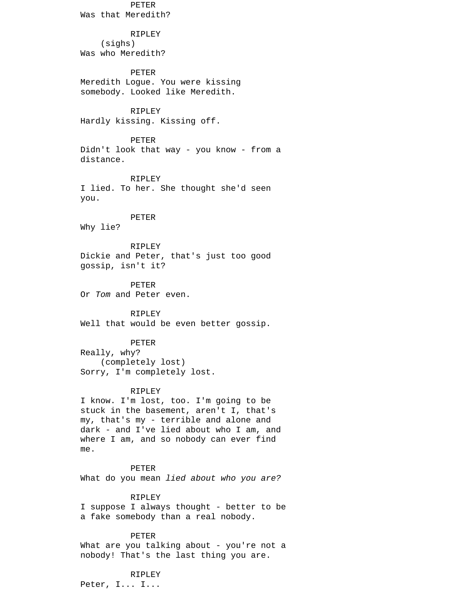PETER Was that Meredith?

 RIPLEY (sighs) Was who Meredith?

 PETER Meredith Logue. You were kissing somebody. Looked like Meredith.

 RIPLEY Hardly kissing. Kissing off.

 PETER Didn't look that way - you know - from a distance.

 RIPLEY I lied. To her. She thought she'd seen you.

# PETER

Why lie?

## RIPLEY

 Dickie and Peter, that's just too good gossip, isn't it?

 PETER Or *Tom* and Peter even.

#### RIPLEY

Well that would be even better gossip.

### PETER

 Really, why? (completely lost) Sorry, I'm completely lost.

### RIPLEY

 I know. I'm lost, too. I'm going to be stuck in the basement, aren't I, that's my, that's my - terrible and alone and dark - and I've lied about who I am, and where I am, and so nobody can ever find me.

### PETER

What do you mean *lied about who you are?*

# RIPLEY

 I suppose I always thought - better to be a fake somebody than a real nobody.

# PETER

What are you talking about - you're not a nobody! That's the last thing you are.

# RIPLEY

Peter, I... I...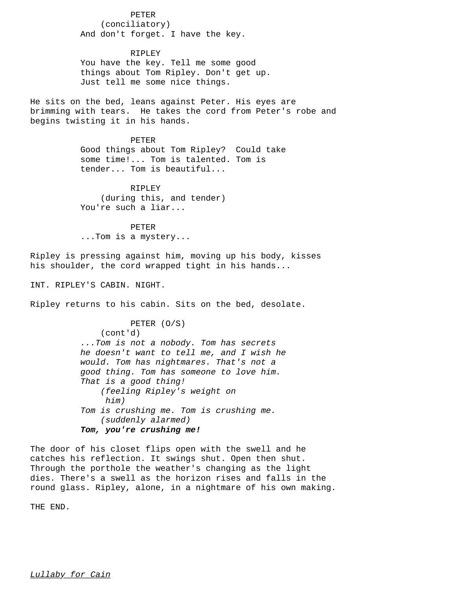PETER (conciliatory)

And don't forget. I have the key.

 RIPLEY You have the key. Tell me some good things about Tom Ripley. Don't get up. Just tell me some nice things.

 He sits on the bed, leans against Peter. His eyes are brimming with tears. He takes the cord from Peter's robe and begins twisting it in his hands.

PETER

 Good things about Tom Ripley? Could take some time!... Tom is talented. Tom is tender... Tom is beautiful...

 RIPLEY (during this, and tender) You're such a liar...

PETER

...Tom is a mystery...

 Ripley is pressing against him, moving up his body, kisses his shoulder, the cord wrapped tight in his hands...

INT. RIPLEY'S CABIN. NIGHT.

Ripley returns to his cabin. Sits on the bed, desolate.

 PETER (O/S) (cont'd) *...Tom is not a nobody. Tom has secrets he doesn't want to tell me, and I wish he would. Tom has nightmares. That's not a good thing. Tom has someone to love him. That is a good thing! (feeling Ripley's weight on him) Tom is crushing me. Tom is crushing me. (suddenly alarmed) Tom, you're crushing me!*

 The door of his closet flips open with the swell and he catches his reflection. It swings shut. Open then shut. Through the porthole the weather's changing as the light dies. There's a swell as the horizon rises and falls in the round glass. Ripley, alone, in a nightmare of his own making.

THE END.